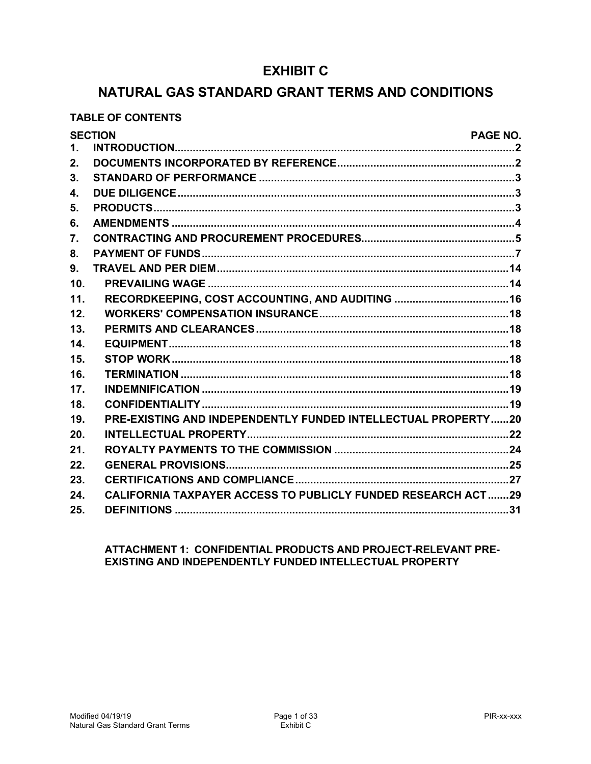# **EXHIBIT C**

# NATURAL GAS STANDARD GRANT TERMS AND CONDITIONS

## **TABLE OF CONTENTS**

|               | <b>SECTION</b>                                                      | PAGE NO. |
|---------------|---------------------------------------------------------------------|----------|
| $\mathbf 1$ . |                                                                     |          |
| 2.            |                                                                     |          |
| 3.            |                                                                     |          |
| 4.            |                                                                     |          |
| 5.            |                                                                     |          |
| 6.            |                                                                     |          |
| 7.            |                                                                     |          |
| 8.            |                                                                     |          |
| 9.            |                                                                     |          |
| 10.           |                                                                     |          |
| 11.           |                                                                     |          |
| 12.           |                                                                     |          |
| 13.           |                                                                     |          |
| 14.           |                                                                     |          |
| 15.           |                                                                     |          |
| 16.           |                                                                     |          |
| 17.           |                                                                     |          |
| 18.           |                                                                     |          |
| 19.           | PRE-EXISTING AND INDEPENDENTLY FUNDED INTELLECTUAL PROPERTY20       |          |
| 20.           |                                                                     |          |
| 21.           |                                                                     |          |
| 22.           |                                                                     |          |
| 23.           |                                                                     |          |
| 24.           | <b>CALIFORNIA TAXPAYER ACCESS TO PUBLICLY FUNDED RESEARCH ACT29</b> |          |
| 25.           |                                                                     |          |

## ATTACHMENT 1: CONFIDENTIAL PRODUCTS AND PROJECT-RELEVANT PRE-EXISTING AND INDEPENDENTLY FUNDED INTELLECTUAL PROPERTY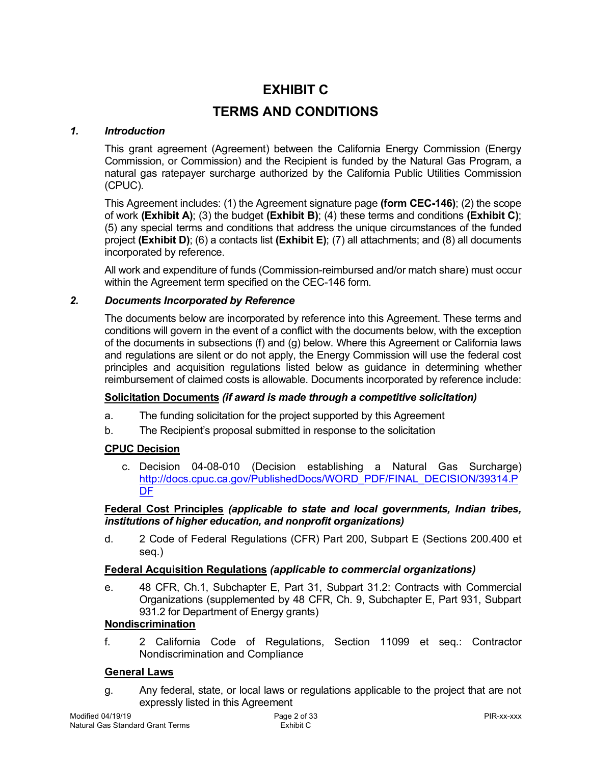# **EXHIBIT C**

# <span id="page-1-0"></span> **TERMS AND CONDITIONS**

#### $\mathbf 1$ *1. Introduction*

 This grant agreement (Agreement) between the California Energy Commission (Energy Commission, or Commission) and the Recipient is funded by the Natural Gas Program, a natural gas ratepayer surcharge authorized by the California Public Utilities Commission (CPUC).

 This Agreement includes: (1) the Agreement signature page **(form CEC-146)**; (2) the scope of work **(Exhibit A)**; (3) the budget **(Exhibit B)**; (4) these terms and conditions **(Exhibit C)**; (5) any special terms and conditions that address the unique circumstances of the funded project **(Exhibit D)**; (6) a contacts list **(Exhibit E)**; (7) all attachments; and (8) all documents incorporated by reference.

 within the Agreement term specified on the CEC-146 form. All work and expenditure of funds (Commission-reimbursed and/or match share) must occur

### *2. Documents Incorporated by Reference*

<span id="page-1-1"></span> The documents below are incorporated by reference into this Agreement. These terms and conditions will govern in the event of a conflict with the documents below, with the exception of the documents in subsections (f) and (g) below. Where this Agreement or California laws and regulations are silent or do not apply, the Energy Commission will use the federal cost principles and acquisition regulations listed below as guidance in determining whether reimbursement of claimed costs is allowable. Documents incorporated by reference include:

### **Solicitation Documents** *(if award is made through a competitive solicitation)*

- a. The funding solicitation for the project supported by this Agreement
- $h$ The Recipient's proposal submitted in response to the solicitation

# **CPUC Decision**

 c. Decision 04-08-010 (Decision establishing a Natural Gas Surcharge) http://docs.cpuc.ca.gov/PublishedDocs/WORD\_PDF/FINAL\_DECISION/39314.P DF

### **Federal Cost Principles** *(applicable to state and local governments, Indian tribes, institutions of higher education, and nonprofit organizations)*

 d. 2 Code of Federal Regulations (CFR) Part 200, Subpart E (Sections 200.400 et seq.)

### **Federal Acquisition Regulations** *(applicable to commercial organizations)*

 e. 48 CFR, Ch.1, Subchapter E, Part 31, Subpart 31.2: Contracts with Commercial Organizations (supplemented by 48 CFR, Ch. 9, Subchapter E, Part 931, Subpart 931.2 for Department of Energy grants)

# **Nondiscrimination**

 Nondiscrimination and Compliance f. 2 California Code of Regulations, Section 11099 et seq.: Contractor

### **General Laws**

 g. Any federal, state, or local laws or regulations applicable to the project that are not expressly listed in this Agreement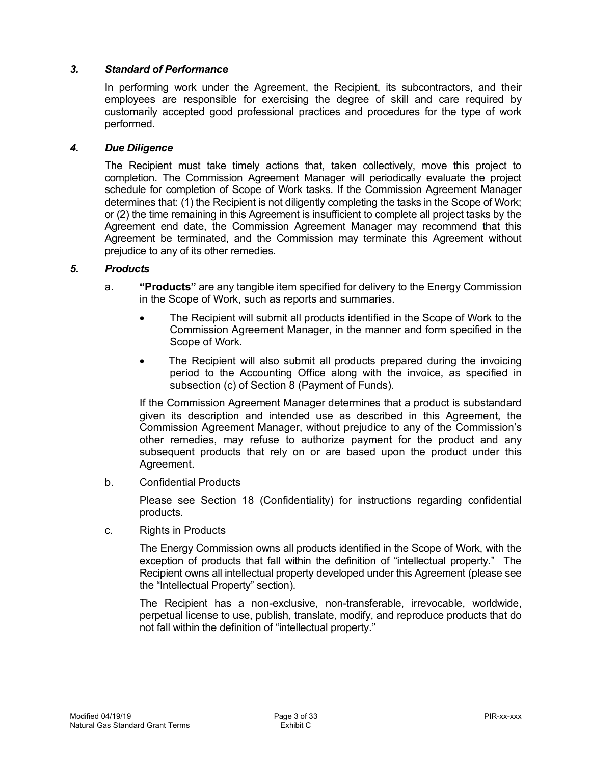### *3. Standard of Performance*

<span id="page-2-0"></span> In performing work under the Agreement, the Recipient, its subcontractors, and their employees are responsible for exercising the degree of skill and care required by customarily accepted good professional practices and procedures for the type of work performed.

#### *4. Due Diligence*

<span id="page-2-1"></span> The Recipient must take timely actions that, taken collectively, move this project to completion. The Commission Agreement Manager will periodically evaluate the project schedule for completion of Scope of Work tasks. If the Commission Agreement Manager determines that: (1) the Recipient is not diligently completing the tasks in the Scope of Work; or (2) the time remaining in this Agreement is insufficient to complete all project tasks by the Agreement end date, the Commission Agreement Manager may recommend that this Agreement be terminated, and the Commission may terminate this Agreement without prejudice to any of its other remedies.

#### *5. Products*

- <span id="page-2-2"></span> a. **"Products"** are any tangible item specified for delivery to the Energy Commission in the Scope of Work, such as reports and summaries.
	- Commission Agreement Manager, in the manner and form specified in the Scope of Work. The Recipient will submit all products identified in the Scope of Work to the
	- period to the Accounting Office along with the invoice, as specified in subsection (c) of Section 8 (Payment of Funds). The Recipient will also submit all products prepared during the invoicing

 If the Commission Agreement Manager determines that a product is substandard given its description and intended use as described in this Agreement, the Commission Agreement Manager, without prejudice to any of the Commission's other remedies, may refuse to authorize payment for the product and any subsequent products that rely on or are based upon the product under this Agreement.

b. Confidential Products

 Please see Section 18 (Confidentiality) for instructions regarding confidential products.

 $\mathbf{c}$ . **Rights in Products** 

> The Energy Commission owns all products identified in the Scope of Work, with the exception of products that fall within the definition of "intellectual property." The Recipient owns all intellectual property developed under this Agreement (please see the "Intellectual Property" section).

> The Recipient has a non-exclusive, non-transferable, irrevocable, worldwide, perpetual license to use, publish, translate, modify, and reproduce products that do not fall within the definition of "intellectual property."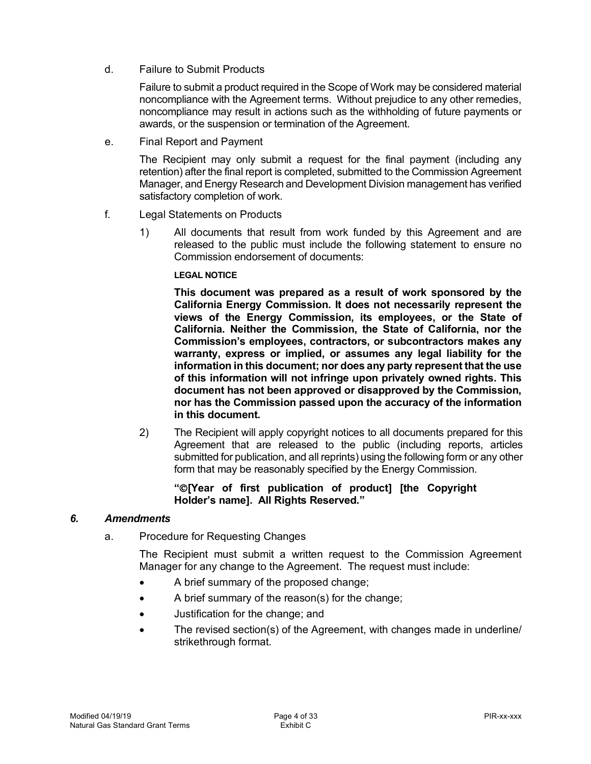d. Failure to Submit Products

 Failure to submit a product required in the Scope of Work may be considered material noncompliance with the Agreement terms. Without prejudice to any other remedies, noncompliance may result in actions such as the withholding of future payments or awards, or the suspension or termination of the Agreement.

e. Final Report and Payment

 The Recipient may only submit a request for the final payment (including any retention) after the final report is completed, submitted to the Commission Agreement Manager, and Energy Research and Development Division management has verified satisfactory completion of work.

- f. Legal Statements on Products
	- 1) All documents that result from work funded by this Agreement and are released to the public must include the following statement to ensure no Commission endorsement of documents:

### **LEGAL NOTICE**

 **This document was prepared as a result of work sponsored by the California Energy Commission. It does not necessarily represent the views of the Energy Commission, its employees, or the State of California. Neither the Commission, the State of California, nor the Commission's employees, contractors, or subcontractors makes any warranty, express or implied, or assumes any legal liability for the information in this document; nor does any party represent that the use of this information will not infringe upon privately owned rights. This document has not been approved or disapproved by the Commission, nor has the Commission passed upon the accuracy of the information in this document.** 

 2) The Recipient will apply copyright notices to all documents prepared for this Agreement that are released to the public (including reports, articles submitted for publication, and all reprints) using the following form or any other form that may be reasonably specified by the Energy Commission.

### <span id="page-3-0"></span> **"**Ó**[Year of first publication of product] [the Copyright Holder's name]. All Rights Reserved."**

### *6. Amendments*

a. Procedure for Requesting Changes

 The Recipient must submit a written request to the Commission Agreement Manager for any change to the Agreement. The request must include:

- A brief summary of the proposed change;
- $\bullet$ • A brief summary of the reason(s) for the change;
- Justification for the change; and
- strikethrough format. • The revised section(s) of the Agreement, with changes made in underline/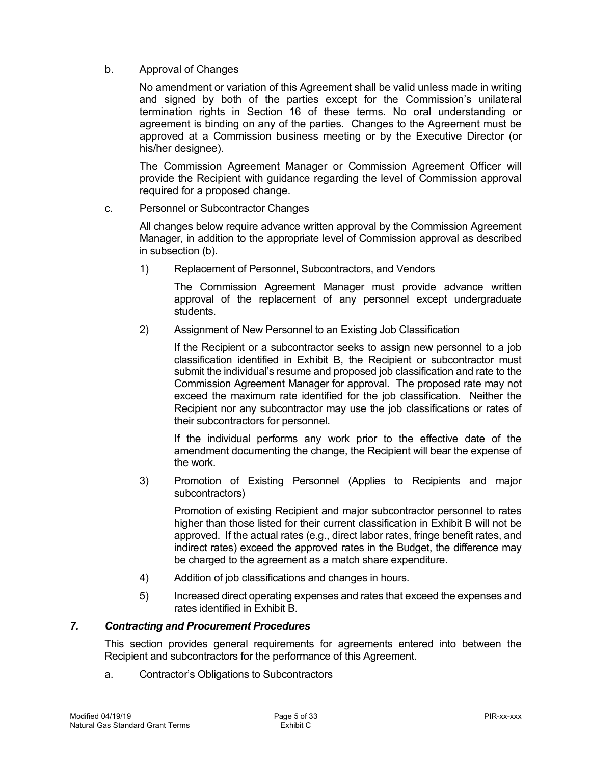### b. Approval of Changes

 No amendment or variation of this Agreement shall be valid unless made in writing and signed by both of the parties except for the Commission's unilateral termination rights in Section 16 of these terms. No oral understanding or agreement is binding on any of the parties. Changes to the Agreement must be approved at a Commission business meeting or by the Executive Director (or his/her designee).

 The Commission Agreement Manager or Commission Agreement Officer will provide the Recipient with guidance regarding the level of Commission approval required for a proposed change.

### c. Personnel or Subcontractor Changes

 All changes below require advance written approval by the Commission Agreement Manager, in addition to the appropriate level of Commission approval as described in subsection (b).

 $1)$ Replacement of Personnel, Subcontractors, and Vendors

> The Commission Agreement Manager must provide advance written approval of the replacement of any personnel except undergraduate students.

students. 2) Assignment of New Personnel to an Existing Job Classification

 If the Recipient or a subcontractor seeks to assign new personnel to a job classification identified in Exhibit B, the Recipient or subcontractor must submit the individual's resume and proposed job classification and rate to the Commission Agreement Manager for approval. The proposed rate may not exceed the maximum rate identified for the job classification. Neither the Recipient nor any subcontractor may use the job classifications or rates of their subcontractors for personnel.

 If the individual performs any work prior to the effective date of the amendment documenting the change, the Recipient will bear the expense of the work.

 3) Promotion of Existing Personnel (Applies to Recipients and major subcontractors)

 Promotion of existing Recipient and major subcontractor personnel to rates higher than those listed for their current classification in Exhibit B will not be approved. If the actual rates (e.g., direct labor rates, fringe benefit rates, and indirect rates) exceed the approved rates in the Budget, the difference may be charged to the agreement as a match share expenditure.

- 4) Addition of job classifications and changes in hours.
- <span id="page-4-0"></span> 5) Increased direct operating expenses and rates that exceed the expenses and rates identified in Exhibit B.

### *7. Contracting and Procurement Procedures*

 This section provides general requirements for agreements entered into between the Recipient and subcontractors for the performance of this Agreement.

a. Contractor's Obligations to Subcontractors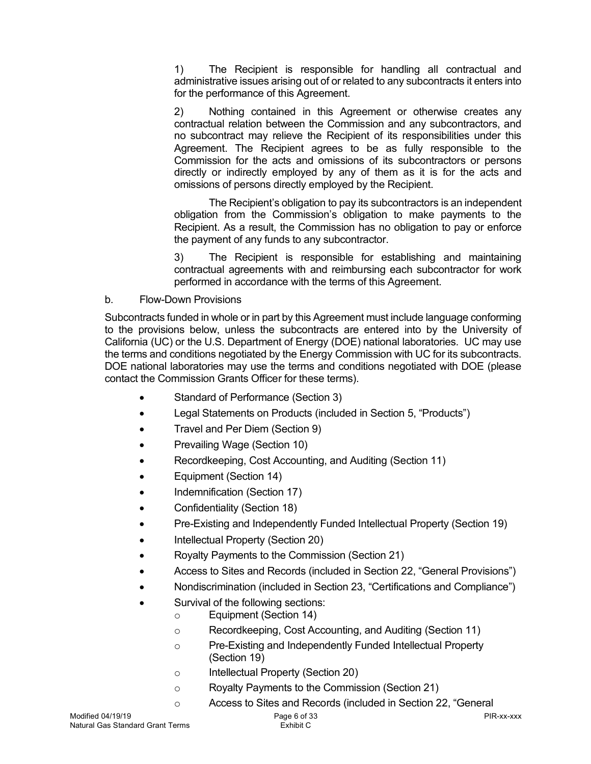$1)$  administrative issues arising out of or related to any subcontracts it enters into The Recipient is responsible for handling all contractual and for the performance of this Agreement.

 2) Nothing contained in this Agreement or otherwise creates any contractual relation between the Commission and any subcontractors, and no subcontract may relieve the Recipient of its responsibilities under this Agreement. The Recipient agrees to be as fully responsible to the Commission for the acts and omissions of its subcontractors or persons directly or indirectly employed by any of them as it is for the acts and omissions of persons directly employed by the Recipient.

 obligation from the Commission's obligation to make payments to the Recipient. As a result, the Commission has no obligation to pay or enforce The Recipient's obligation to pay its subcontractors is an independent the payment of any funds to any subcontractor.

 3) The Recipient is responsible for establishing and maintaining contractual agreements with and reimbursing each subcontractor for work performed in accordance with the terms of this Agreement.

b. Flow-Down Provisions

 Subcontracts funded in whole or in part by this Agreement must include language conforming to the provisions below, unless the subcontracts are entered into by the University of California (UC) or the U.S. Department of Energy (DOE) national laboratories. UC may use the terms and conditions negotiated by the Energy Commission with UC for its subcontracts. DOE national laboratories may use the terms and conditions negotiated with DOE (please contact the Commission Grants Officer for these terms).

- Standard of Performance (Section 3)
- $\bullet$ Legal Statements on Products (included in Section 5, "Products")
- Travel and Per Diem (Section 9)
- Prevailing Wage (Section 10)
- Recordkeeping, Cost Accounting, and Auditing (Section 11)
- Equipment (Section 14)
- Indemnification (Section 17)
- Confidentiality (Section 18)
- Pre-Existing and Independently Funded Intellectual Property (Section 19)
- Intellectual Property (Section 20)
- Royalty Payments to the Commission (Section 21)
- Access to Sites and Records (included in Section 22, "General Provisions")
- Nondiscrimination (included in Section 23, "Certifications and Compliance")
- • Survival of the following sections:
	- o Equipment (Section 14)
		- o Recordkeeping, Cost Accounting, and Auditing (Section 11)
		- o Pre-Existing and Independently Funded Intellectual Property (Section 19)
		- o Intellectual Property (Section 20)
		- o Royalty Payments to the Commission (Section 21)
		- o Access to Sites and Records (included in Section 22, "General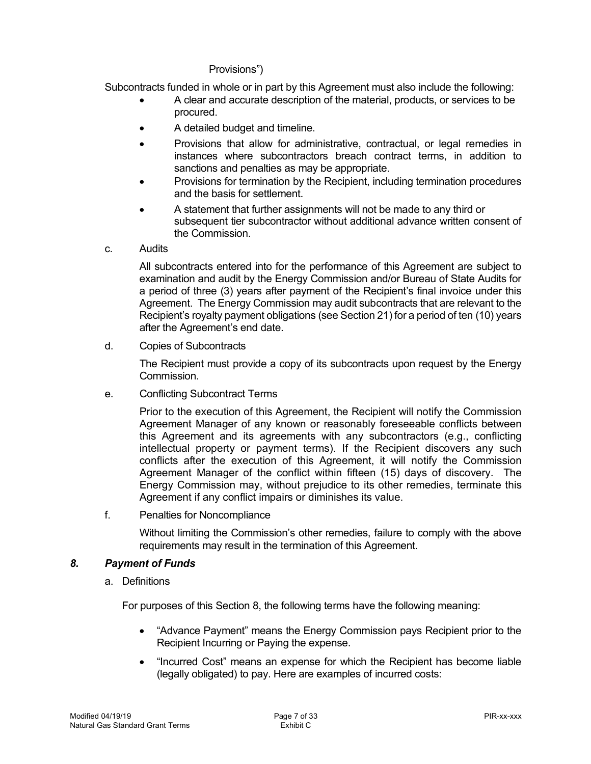### Provisions")

Subcontracts funded in whole or in part by this Agreement must also include the following:

- procured. • A clear and accurate description of the material, products, or services to be
- A detailed budget and timeline.
- • Provisions that allow for administrative, contractual, or legal remedies in instances where subcontractors breach contract terms, in addition to sanctions and penalties as may be appropriate.
- • Provisions for termination by the Recipient, including termination procedures and the basis for settlement.
- • A statement that further assignments will not be made to any third or subsequent tier subcontractor without additional advance written consent of the Commission.
- C. **Audits**

 All subcontracts entered into for the performance of this Agreement are subject to examination and audit by the Energy Commission and/or Bureau of State Audits for a period of three (3) years after payment of the Recipient's final invoice under this Agreement. The Energy Commission may audit subcontracts that are relevant to the Recipient's royalty payment obligations (see Section 21) for a period of ten (10) years after the Agreement's end date.

d. **Copies of Subcontracts** 

> The Recipient must provide a copy of its subcontracts upon request by the Energy Commission.

е. Conflicting Subcontract Terms

> Prior to the execution of this Agreement, the Recipient will notify the Commission Agreement Manager of any known or reasonably foreseeable conflicts between this Agreement and its agreements with any subcontractors (e.g., conflicting intellectual property or payment terms). If the Recipient discovers any such conflicts after the execution of this Agreement, it will notify the Commission Agreement Manager of the conflict within fifteen (15) days of discovery. The Energy Commission may, without prejudice to its other remedies, terminate this Agreement if any conflict impairs or diminishes its value.

 $f$ Penalties for Noncompliance

> <span id="page-6-0"></span> Without limiting the Commission's other remedies, failure to comply with the above requirements may result in the termination of this Agreement.

### *8. Payment of Funds*

a. Definitions

For purposes of this Section 8, the following terms have the following meaning:

- • "Advance Payment" means the Energy Commission pays Recipient prior to the Recipient Incurring or Paying the expense.
- • "Incurred Cost" means an expense for which the Recipient has become liable (legally obligated) to pay. Here are examples of incurred costs: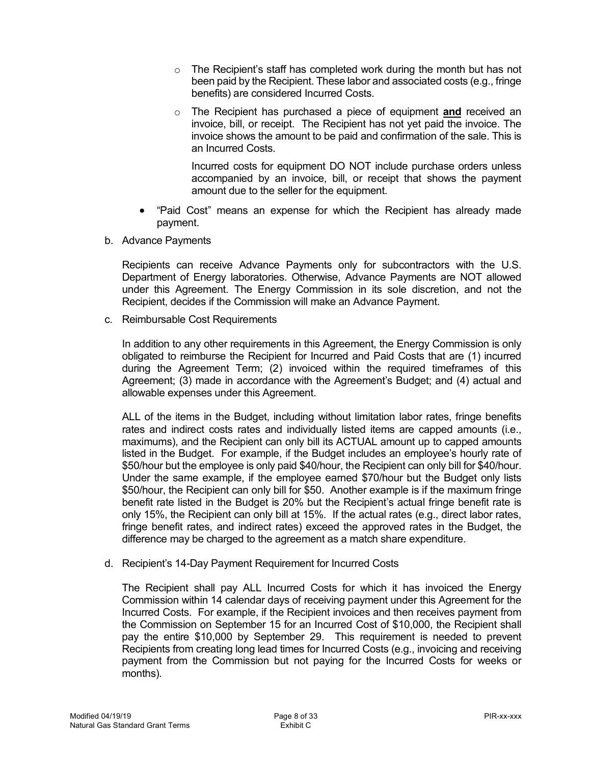- $\circ$  The Recipient's staff has completed work during the month but has not been paid by the Recipient. These labor and associated costs (e.g., fringe benefits) are considered Incurred Costs.
- o The Recipient has purchased a piece of equipment **and** received an invoice, bill, or receipt. The Recipient has not yet paid the invoice. The invoice shows the amount to be paid and confirmation of the sale. This is an Incurred Costs.

 Incurred costs for equipment DO NOT include purchase orders unless accompanied by an invoice, bill, or receipt that shows the payment amount due to the seller for the equipment.

- • "Paid Cost" means an expense for which the Recipient has already made payment.
- b. Advance Payments

 Recipients can receive Advance Payments only for subcontractors with the U.S. Department of Energy laboratories. Otherwise, Advance Payments are NOT allowed under this Agreement. The Energy Commission in its sole discretion, and not the Recipient, decides if the Commission will make an Advance Payment.

c. Reimbursable Cost Requirements

 In addition to any other requirements in this Agreement, the Energy Commission is only obligated to reimburse the Recipient for Incurred and Paid Costs that are (1) incurred during the Agreement Term; (2) invoiced within the required timeframes of this Agreement; (3) made in accordance with the Agreement's Budget; and (4) actual and allowable expenses under this Agreement.

 ALL of the items in the Budget, including without limitation labor rates, fringe benefits rates and indirect costs rates and individually listed items are capped amounts (i.e., maximums), and the Recipient can only bill its ACTUAL amount up to capped amounts listed in the Budget. For example, if the Budget includes an employee's hourly rate of \$50/hour but the employee is only paid \$40/hour, the Recipient can only bill for \$40/hour. Under the same example, if the employee earned \$70/hour but the Budget only lists \$50/hour, the Recipient can only bill for \$50. Another example is if the maximum fringe benefit rate listed in the Budget is 20% but the Recipient's actual fringe benefit rate is only 15%, the Recipient can only bill at 15%. If the actual rates (e.g., direct labor rates, fringe benefit rates, and indirect rates) exceed the approved rates in the Budget, the difference may be charged to the agreement as a match share expenditure.

d. Recipient's 14-Day Payment Requirement for Incurred Costs

 The Recipient shall pay ALL Incurred Costs for which it has invoiced the Energy Commission within 14 calendar days of receiving payment under this Agreement for the Incurred Costs. For example, if the Recipient invoices and then receives payment from the Commission on September 15 for an Incurred Cost of \$10,000, the Recipient shall pay the entire \$10,000 by September 29. This requirement is needed to prevent Recipients from creating long lead times for Incurred Costs (e.g., invoicing and receiving payment from the Commission but not paying for the Incurred Costs for weeks or months). months).<br>Modified 04/19/19 Page 8 of 33 PIR-xx-xxx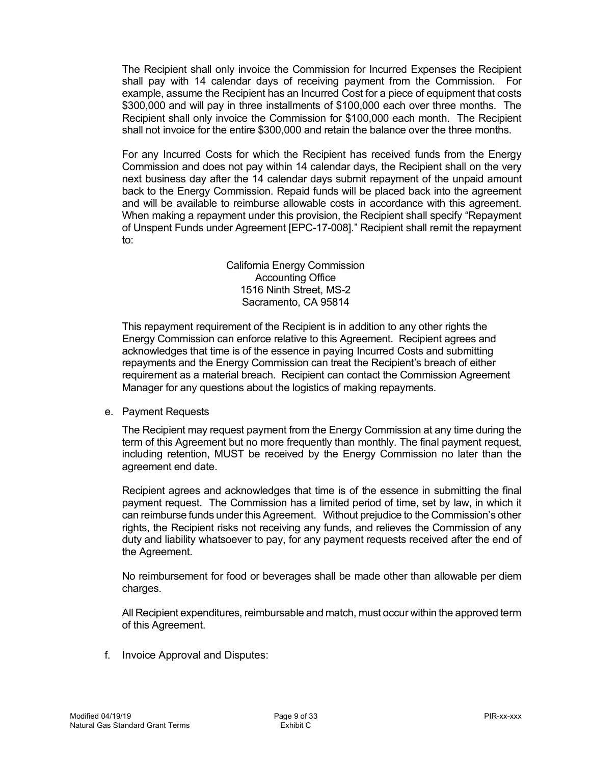The Recipient shall only invoice the Commission for Incurred Expenses the Recipient shall pay with 14 calendar days of receiving payment from the Commission. For example, assume the Recipient has an Incurred Cost for a piece of equipment that costs \$300,000 and will pay in three installments of \$100,000 each over three months. The Recipient shall only invoice the Commission for \$100,000 each month. The Recipient shall not invoice for the entire \$300,000 and retain the balance over the three months.

 For any Incurred Costs for which the Recipient has received funds from the Energy Commission and does not pay within 14 calendar days, the Recipient shall on the very next business day after the 14 calendar days submit repayment of the unpaid amount back to the Energy Commission. Repaid funds will be placed back into the agreement When making a repayment under this provision, the Recipient shall specify "Repayment of Unspent Funds under Agreement [EPC-17-008]." Recipient shall remit the repayment and will be available to reimburse allowable costs in accordance with this agreement. to:

> California Energy Commission Accounting Office 1516 Ninth Street, MS-2 Sacramento, CA 95814

 This repayment requirement of the Recipient is in addition to any other rights the Energy Commission can enforce relative to this Agreement. Recipient agrees and acknowledges that time is of the essence in paying Incurred Costs and submitting repayments and the Energy Commission can treat the Recipient's breach of either requirement as a material breach. Recipient can contact the Commission Agreement Manager for any questions about the logistics of making repayments.

e. Payment Requests

 The Recipient may request payment from the Energy Commission at any time during the including retention, MUST be received by the Energy Commission no later than the agreement end date. term of this Agreement but no more frequently than monthly. The final payment request,

agreement end date.<br>Recipient agrees and acknowledges that time is of the essence in submitting the final payment request. The Commission has a limited period of time, set by law, in which it can reimburse funds under this Agreement. Without prejudice to the Commission's other rights, the Recipient risks not receiving any funds, and relieves the Commission of any duty and liability whatsoever to pay, for any payment requests received after the end of the Agreement.

 No reimbursement for food or beverages shall be made other than allowable per diem charges.

 All Recipient expenditures, reimbursable and match, must occur within the approved term of this Agreement.

f. Invoice Approval and Disputes: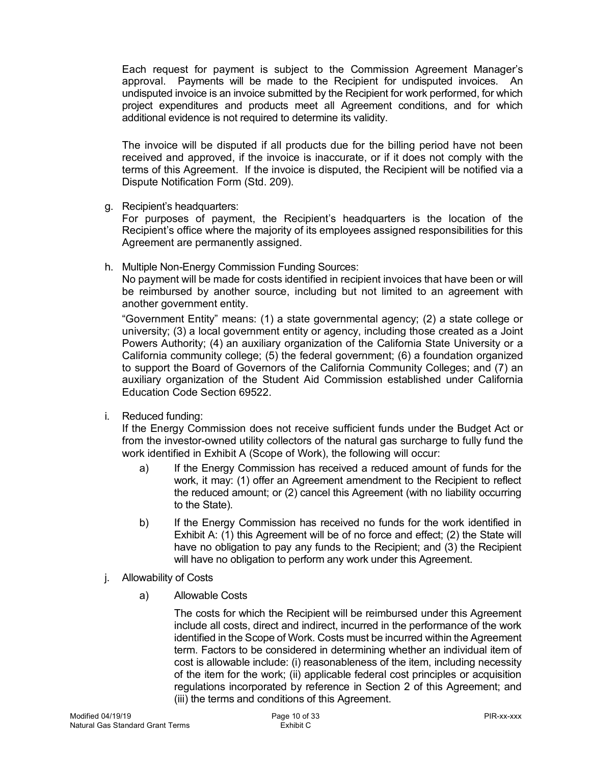Each request for payment is subject to the Commission Agreement Manager's approval. Payments will be made to the Recipient for undisputed invoices. An undisputed invoice is an invoice submitted by the Recipient for work performed, for which project expenditures and products meet all Agreement conditions, and for which additional evidence is not required to determine its validity.

 The invoice will be disputed if all products due for the billing period have not been received and approved, if the invoice is inaccurate, or if it does not comply with the terms of this Agreement. If the invoice is disputed, the Recipient will be notified via a Dispute Notification Form (Std. 209).

g. Recipient's headquarters:

 For purposes of payment, the Recipient's headquarters is the location of the Recipient's office where the majority of its employees assigned responsibilities for this Agreement are permanently assigned.

h. Multiple Non-Energy Commission Funding Sources:

 No payment will be made for costs identified in recipient invoices that have been or will be reimbursed by another source, including but not limited to an agreement with another government entity.

 "Government Entity" means: (1) a state governmental agency; (2) a state college or university; (3) a local government entity or agency, including those created as a Joint Powers Authority; (4) an auxiliary organization of the California State University or a California community college; (5) the federal government; (6) a foundation organized to support the Board of Governors of the California Community Colleges; and (7) an auxiliary organization of the Student Aid Commission established under California Education Code Section 69522.

i. Reduced funding:

 If the Energy Commission does not receive sufficient funds under the Budget Act or from the investor-owned utility collectors of the natural gas surcharge to fully fund the work identified in Exhibit A (Scope of Work), the following will occur:

- work, it may: (1) offer an Agreement amendment to the Recipient to reflect the reduced amount; or (2) cancel this Agreement (with no liability occurring a) If the Energy Commission has received a reduced amount of funds for the to the State).
- Exhibit A: (1) this Agreement will be of no force and effect; (2) the State will have no obligation to pay any funds to the Recipient; and (3) the Recipient b) If the Energy Commission has received no funds for the work identified in will have no obligation to perform any work under this Agreement.
- j. Allowability of Costs
	- a) Allowable Costs

 The costs for which the Recipient will be reimbursed under this Agreement include all costs, direct and indirect, incurred in the performance of the work identified in the Scope of Work. Costs must be incurred within the Agreement term. Factors to be considered in determining whether an individual item of cost is allowable include: (i) reasonableness of the item, including necessity of the item for the work; (ii) applicable federal cost principles or acquisition regulations incorporated by reference in Section 2 of this Agreement; and (iii) the terms and conditions of this Agreement.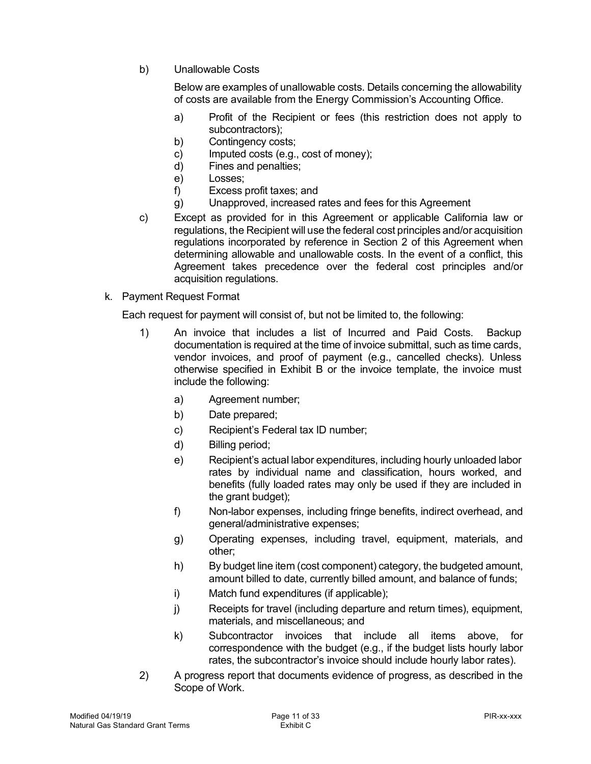b) Unallowable Costs

 Below are examples of unallowable costs. Details concerning the allowability of costs are available from the Energy Commission's Accounting Office.

- a) Profit of the Recipient or fees (this restriction does not apply to subcontractors);
- b) Contingency costs;
- c) Imputed costs (e.g., cost of money);
- d) Fines and penalties;
- e) Losses;
- f) Excess profit taxes; and
- g) Unapproved, increased rates and fees for this Agreement
- c) Except as provided for in this Agreement or applicable California law or regulations, the Recipient will use the federal cost principles and/or acquisition regulations incorporated by reference in Section 2 of this Agreement when determining allowable and unallowable costs. In the event of a conflict, this Agreement takes precedence over the federal cost principles and/or acquisition regulations.
- k. Payment Request Format

Each request for payment will consist of, but not be limited to, the following:

- $1)$  documentation is required at the time of invoice submittal, such as time cards, vendor invoices, and proof of payment (e.g., cancelled checks). Unless otherwise specified in Exhibit B or the invoice template, the invoice must include the following: An invoice that includes a list of Incurred and Paid Costs. Backup
	- a) Agreement number;
	- b) Date prepared;
	- c) Recipient's Federal tax ID number;
	- d) Billing period;
	- e) Recipient's actual labor expenditures, including hourly unloaded labor rates by individual name and classification, hours worked, and benefits (fully loaded rates may only be used if they are included in the grant budget);
	- f) Non-labor expenses, including fringe benefits, indirect overhead, and general/administrative expenses;
	- g) Operating expenses, including travel, equipment, materials, and other;
	- h) By budget line item (cost component) category, the budgeted amount, amount billed to date, currently billed amount, and balance of funds;
	- i) Match fund expenditures (if applicable);
	- j) Receipts for travel (including departure and return times), equipment, materials, and miscellaneous; and
	- k) Subcontractor invoices that include all items above, for correspondence with the budget (e.g., if the budget lists hourly labor rates, the subcontractor's invoice should include hourly labor rates).
- $2)$  Scope of Work. 2) A progress report that documents evidence of progress, as described in the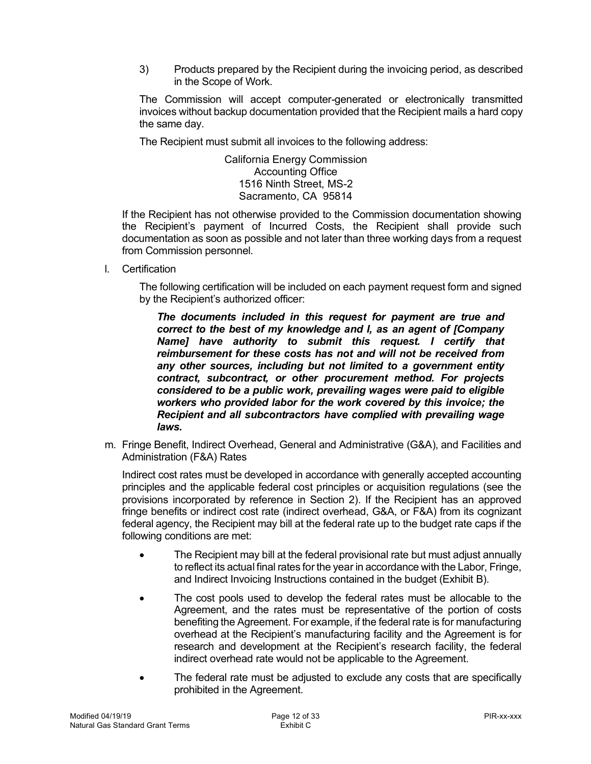3) Products prepared by the Recipient during the invoicing period, as described in the Scope of Work.

 The Commission will accept computer-generated or electronically transmitted invoices without backup documentation provided that the Recipient mails a hard copy the same day.

The Recipient must submit all invoices to the following address:

 California Energy Commission Accounting Office 1516 Ninth Street, MS-2 Sacramento, CA 95814

 If the Recipient has not otherwise provided to the Commission documentation showing the Recipient's payment of Incurred Costs, the Recipient shall provide such documentation as soon as possible and not later than three working days from a request from Commission personnel.

l. Certification

 The following certification will be included on each payment request form and signed by the Recipient's authorized officer:

 *The documents included in this request for payment are true and correct to the best of my knowledge and I, as an agent of [Company Name] have authority to submit this request. I certify that reimbursement for these costs has not and will not be received from*  any other sources, including but not limited to a government entity  *contract, subcontract, or other procurement method. For projects considered to be a public work, prevailing wages were paid to eligible workers who provided labor for the work covered by this invoice; the Recipient and all subcontractors have complied with prevailing wage laws.* 

 m. Fringe Benefit, Indirect Overhead, General and Administrative (G&A), and Facilities and Administration (F&A) Rates

 Indirect cost rates must be developed in accordance with generally accepted accounting principles and the applicable federal cost principles or acquisition regulations (see the provisions incorporated by reference in Section 2). If the Recipient has an approved fringe benefits or indirect cost rate (indirect overhead, G&A, or F&A) from its cognizant federal agency, the Recipient may bill at the federal rate up to the budget rate caps if the following conditions are met:

- • The Recipient may bill at the federal provisional rate but must adjust annually to reflect its actual final rates for the year in accordance with the Labor, Fringe, and Indirect Invoicing Instructions contained in the budget (Exhibit B).
- Agreement, and the rates must be representative of the portion of costs benefiting the Agreement. For example, if the federal rate is for manufacturing overhead at the Recipient's manufacturing facility and the Agreement is for research and development at the Recipient's research facility, the federal indirect overhead rate would not be applicable to the Agreement. The cost pools used to develop the federal rates must be allocable to the
- The federal rate must be adjusted to exclude any costs that are specifically prohibited in the Agreement.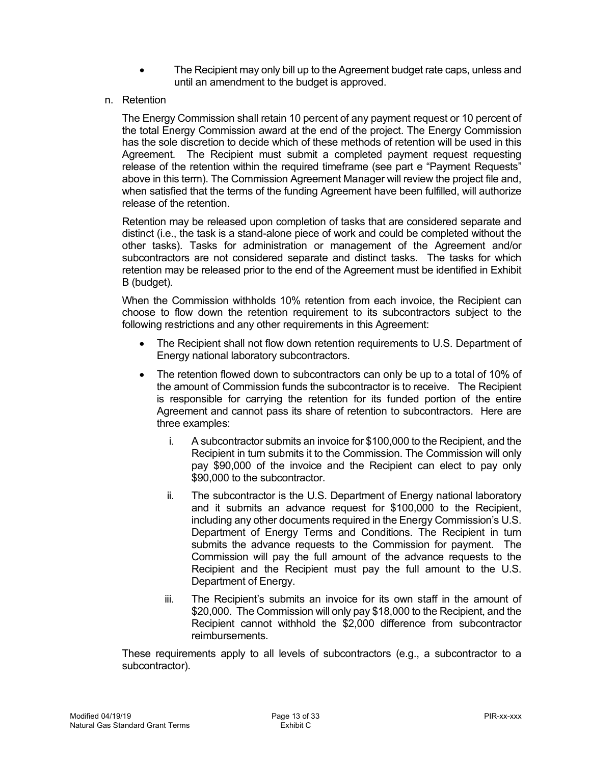- • The Recipient may only bill up to the Agreement budget rate caps, unless and until an amendment to the budget is approved.
- n. Retention

 The Energy Commission shall retain 10 percent of any payment request or 10 percent of the total Energy Commission award at the end of the project. The Energy Commission has the sole discretion to decide which of these methods of retention will be used in this Agreement. The Recipient must submit a completed payment request requesting release of the retention within the required timeframe (see part e "Payment Requests" above in this term). The Commission Agreement Manager will review the project file and, when satisfied that the terms of the funding Agreement have been fulfilled, will authorize release of the retention.

 distinct (i.e., the task is a stand-alone piece of work and could be completed without the other tasks). Tasks for administration or management of the Agreement and/or subcontractors are not considered separate and distinct tasks. The tasks for which retention may be released prior to the end of the Agreement must be identified in Exhibit B (budget). Retention may be released upon completion of tasks that are considered separate and

 choose to flow down the retention requirement to its subcontractors subject to the following restrictions and any other requirements in this Agreement: When the Commission withholds 10% retention from each invoice, the Recipient can

- $\bullet$  Energy national laboratory subcontractors. • The Recipient shall not flow down retention requirements to U.S. Department of
- $\bullet$  the amount of Commission funds the subcontractor is to receive. The Recipient is responsible for carrying the retention for its funded portion of the entire Agreement and cannot pass its share of retention to subcontractors. Here are • The retention flowed down to subcontractors can only be up to a total of 10% of three examples:
	- i. A subcontractor submits an invoice for \$100,000 to the Recipient, and the Recipient in turn submits it to the Commission. The Commission will only pay \$90,000 of the invoice and the Recipient can elect to pay only \$90,000 to the subcontractor.
	- ii. The subcontractor is the U.S. Department of Energy national laboratory and it submits an advance request for \$100,000 to the Recipient, including any other documents required in the Energy Commission's U.S. Department of Energy Terms and Conditions. The Recipient in turn submits the advance requests to the Commission for payment. The Commission will pay the full amount of the advance requests to the Recipient and the Recipient must pay the full amount to the U.S. Department of Energy.
	- iii. \$20,000. The Commission will only pay \$18,000 to the Recipient, and the Recipient cannot withhold the \$2,000 difference from subcontractor reimbursements. The Recipient's submits an invoice for its own staff in the amount of

 reimbursements. These requirements apply to all levels of subcontractors (e.g., a subcontractor to a subcontractor).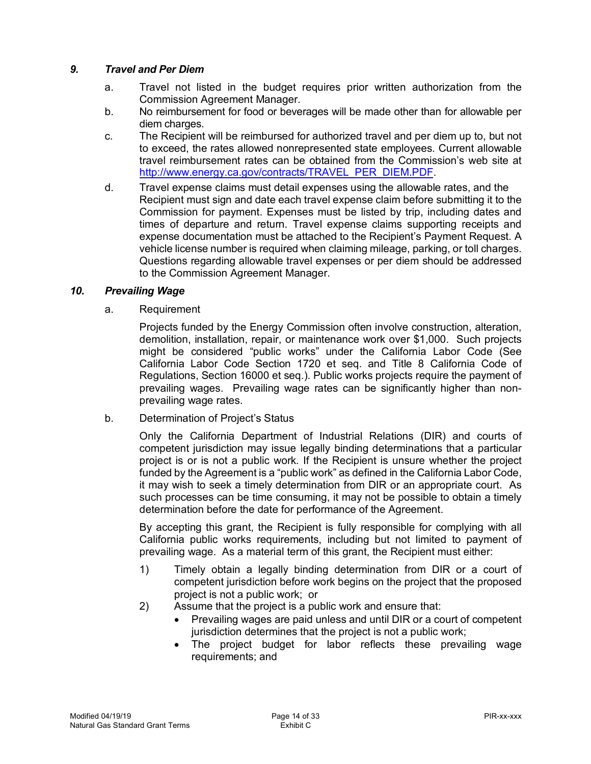## *9. Travel and Per Diem*

- <span id="page-13-0"></span>a. Commission Agreement Manager. Travel not listed in the budget requires prior written authorization from the
- b. No reimbursement for food or beverages will be made other than for allowable per diem charges.
- c. The Recipient will be reimbursed for authorized travel and per diem up to, but not to exceed, the rates allowed nonrepresented state employees. Current allowable travel reimbursement rates can be obtained from the Commission's web site at [http://www.energy.ca.gov/contracts/TRAVEL\\_PER\\_DIEM.PDF](http://www.energy.ca.gov/contracts/TRAVEL_PER_DIEM.PDF).
- $d_{-}$  Recipient must sign and date each travel expense claim before submitting it to the Commission for payment. Expenses must be listed by trip, including dates and times of departure and return. Travel expense claims supporting receipts and expense documentation must be attached to the Recipient's Payment Request. A vehicle license number is required when claiming mileage, parking, or toll charges. Questions regarding allowable travel expenses or per diem should be addressed to the Commission Agreement Manager. Travel expense claims must detail expenses using the allowable rates, and the

#### $10<sub>1</sub>$ **Prevailing Wage**

a. Requirement

<span id="page-13-1"></span> Projects funded by the Energy Commission often involve construction, alteration, demolition, installation, repair, or maintenance work over \$1,000. Such projects might be considered "public works" under the California Labor Code (See California Labor Code Section 1720 et seq. and Title 8 California Code of Regulations, Section 16000 et seq.). Public works projects require the payment of prevailing wages. Prevailing wage rates can be significantly higher than non-prevailing wage rates.

b. Determination of Project's Status

 Only the California Department of Industrial Relations (DIR) and courts of competent jurisdiction may issue legally binding determinations that a particular project is or is not a public work. If the Recipient is unsure whether the project funded by the Agreement is a "public work" as defined in the California Labor Code, it may wish to seek a timely determination from DIR or an appropriate court. As such processes can be time consuming, it may not be possible to obtain a timely determination before the date for performance of the Agreement.

 By accepting this grant, the Recipient is fully responsible for complying with all California public works requirements, including but not limited to payment of prevailing wage. As a material term of this grant, the Recipient must either:

- 1) Timely obtain a legally binding determination from DIR or a court of competent jurisdiction before work begins on the project that the proposed project is not a public work; or
- 2) Assume that the project is a public work and ensure that:
	- • Prevailing wages are paid unless and until DIR or a court of competent jurisdiction determines that the project is not a public work;
	- • The project budget for labor reflects these prevailing wage requirements; and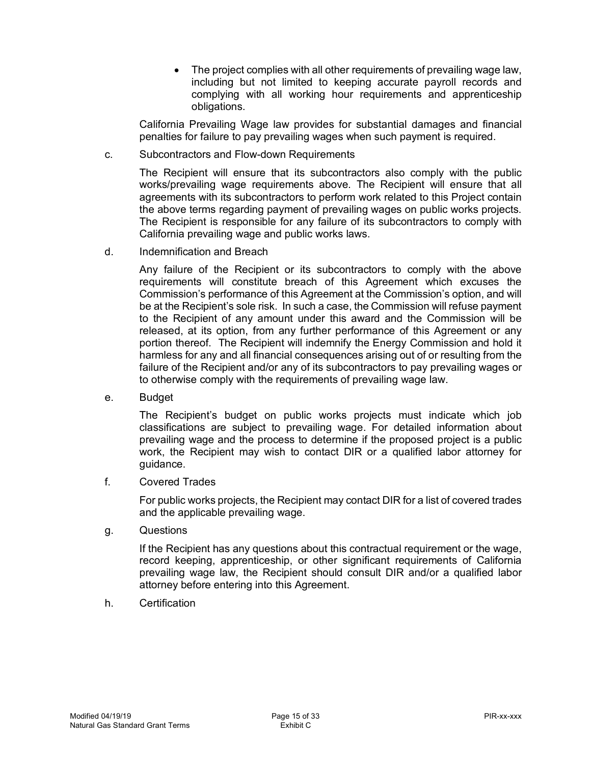$\bullet$  including but not limited to keeping accurate payroll records and complying with all working hour requirements and apprenticeship • The project complies with all other requirements of prevailing wage law, obligations.

 California Prevailing Wage law provides for substantial damages and financial penalties for failure to pay prevailing wages when such payment is required.

C. Subcontractors and Flow-down Requirements

> The Recipient will ensure that its subcontractors also comply with the public works/prevailing wage requirements above. The Recipient will ensure that all agreements with its subcontractors to perform work related to this Project contain the above terms regarding payment of prevailing wages on public works projects. The Recipient is responsible for any failure of its subcontractors to comply with California prevailing wage and public works laws.

d. Indemnification and Breach

 Any failure of the Recipient or its subcontractors to comply with the above requirements will constitute breach of this Agreement which excuses the Commission's performance of this Agreement at the Commission's option, and will be at the Recipient's sole risk. In such a case, the Commission will refuse payment to the Recipient of any amount under this award and the Commission will be released, at its option, from any further performance of this Agreement or any portion thereof. The Recipient will indemnify the Energy Commission and hold it harmless for any and all financial consequences arising out of or resulting from the failure of the Recipient and/or any of its subcontractors to pay prevailing wages or to otherwise comply with the requirements of prevailing wage law.

**Budget** 

 e. Budget The Recipient's budget on public works projects must indicate which job classifications are subject to prevailing wage. For detailed information about prevailing wage and the process to determine if the proposed project is a public work, the Recipient may wish to contact DIR or a qualified labor attorney for guidance.

**Covered Trades** 

f. Covered Trades<br>For public works projects, the Recipient may contact DIR for a list of covered trades and the applicable prevailing wage.

g. **Questions** 

> If the Recipient has any questions about this contractual requirement or the wage, record keeping, apprenticeship, or other significant requirements of California prevailing wage law, the Recipient should consult DIR and/or a qualified labor attorney before entering into this Agreement.

h. Certification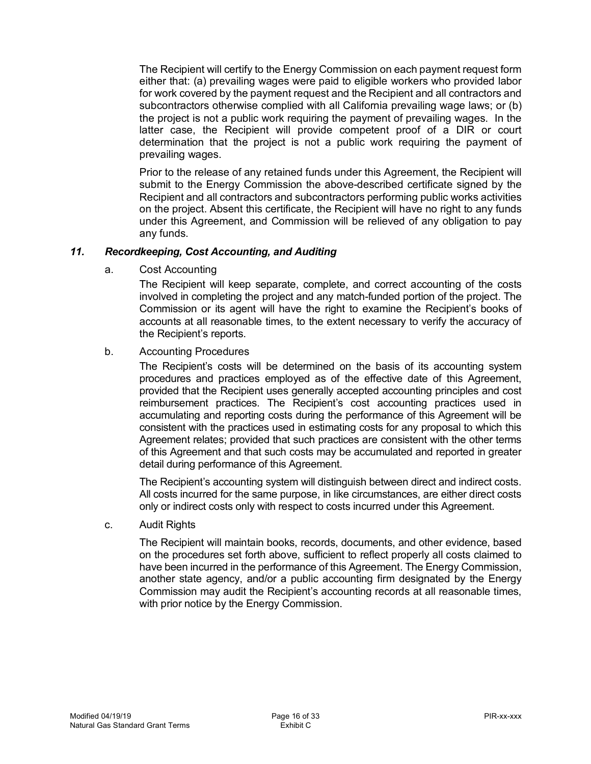The Recipient will certify to the Energy Commission on each payment request form either that: (a) prevailing wages were paid to eligible workers who provided labor for work covered by the payment request and the Recipient and all contractors and subcontractors otherwise complied with all California prevailing wage laws; or (b) the project is not a public work requiring the payment of prevailing wages. In the latter case, the Recipient will provide competent proof of a DIR or court determination that the project is not a public work requiring the payment of prevailing wages.

 Prior to the release of any retained funds under this Agreement, the Recipient will submit to the Energy Commission the above-described certificate signed by the Recipient and all contractors and subcontractors performing public works activities on the project. Absent this certificate, the Recipient will have no right to any funds under this Agreement, and Commission will be relieved of any obligation to pay any funds.

#### $11.$ *11. Recordkeeping, Cost Accounting, and Auditing*

a. Cost Accounting

> <span id="page-15-0"></span> The Recipient will keep separate, complete, and correct accounting of the costs involved in completing the project and any match-funded portion of the project. The Commission or its agent will have the right to examine the Recipient's books of accounts at all reasonable times, to the extent necessary to verify the accuracy of the Recipient's reports.

#### $b<sub>1</sub>$ **Accounting Procedures**

 The Recipient's costs will be determined on the basis of its accounting system procedures and practices employed as of the effective date of this Agreement, provided that the Recipient uses generally accepted accounting principles and cost reimbursement practices. The Recipient's cost accounting practices used in accumulating and reporting costs during the performance of this Agreement will be consistent with the practices used in estimating costs for any proposal to which this Agreement relates; provided that such practices are consistent with the other terms of this Agreement and that such costs may be accumulated and reported in greater detail during performance of this Agreement.

 The Recipient's accounting system will distinguish between direct and indirect costs. All costs incurred for the same purpose, in like circumstances, are either direct costs only or indirect costs only with respect to costs incurred under this Agreement.

C. **Audit Rights** 

> The Recipient will maintain books, records, documents, and other evidence, based on the procedures set forth above, sufficient to reflect properly all costs claimed to have been incurred in the performance of this Agreement. The Energy Commission, another state agency, and/or a public accounting firm designated by the Energy Commission may audit the Recipient's accounting records at all reasonable times, with prior notice by the Energy Commission.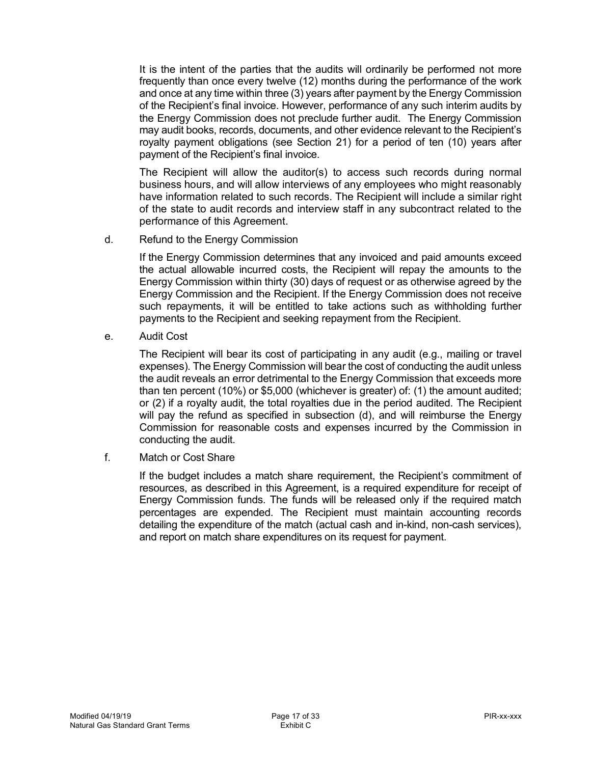It is the intent of the parties that the audits will ordinarily be performed not more frequently than once every twelve (12) months during the performance of the work and once at any time within three (3) years after payment by the Energy Commission of the Recipient's final invoice. However, performance of any such interim audits by the Energy Commission does not preclude further audit. The Energy Commission may audit books, records, documents, and other evidence relevant to the Recipient's royalty payment obligations (see Section 21) for a period of ten (10) years after payment of the Recipient's final invoice.

 The Recipient will allow the auditor(s) to access such records during normal business hours, and will allow interviews of any employees who might reasonably have information related to such records. The Recipient will include a similar right of the state to audit records and interview staff in any subcontract related to the performance of this Agreement.

d. Refund to the Energy Commission

 If the Energy Commission determines that any invoiced and paid amounts exceed the actual allowable incurred costs, the Recipient will repay the amounts to the Energy Commission within thirty (30) days of request or as otherwise agreed by the Energy Commission and the Recipient. If the Energy Commission does not receive such repayments, it will be entitled to take actions such as withholding further payments to the Recipient and seeking repayment from the Recipient.

e. Audit Cost

 The Recipient will bear its cost of participating in any audit (e.g., mailing or travel expenses). The Energy Commission will bear the cost of conducting the audit unless the audit reveals an error detrimental to the Energy Commission that exceeds more than ten percent (10%) or \$5,000 (whichever is greater) of: (1) the amount audited; or (2) if a royalty audit, the total royalties due in the period audited. The Recipient will pay the refund as specified in subsection (d), and will reimburse the Energy Commission for reasonable costs and expenses incurred by the Commission in conducting the audit.

f. Match or Cost Share

 If the budget includes a match share requirement, the Recipient's commitment of resources, as described in this Agreement, is a required expenditure for receipt of Energy Commission funds. The funds will be released only if the required match percentages are expended. The Recipient must maintain accounting records detailing the expenditure of the match (actual cash and in-kind, non-cash services), and report on match share expenditures on its request for payment.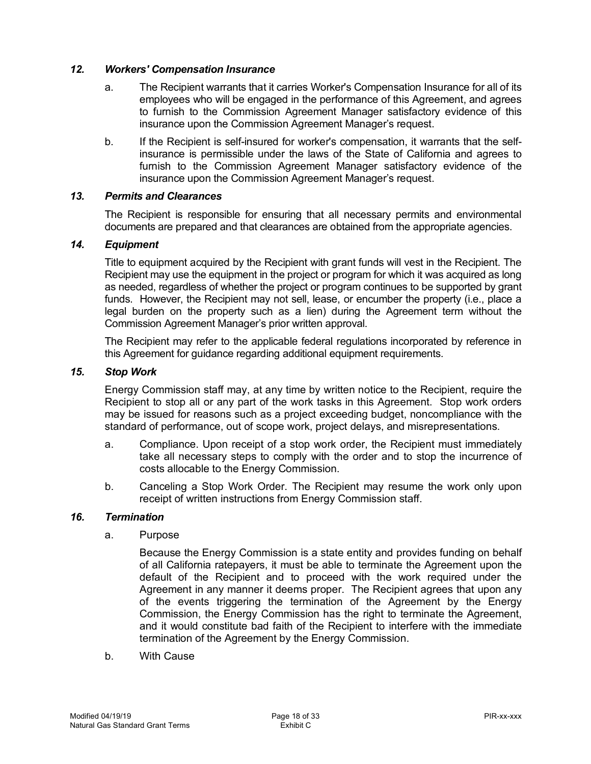### *12. Workers' Compensation Insurance*

- <span id="page-17-0"></span> a. The Recipient warrants that it carries Worker's Compensation Insurance for all of its employees who will be engaged in the performance of this Agreement, and agrees to furnish to the Commission Agreement Manager satisfactory evidence of this insurance upon the Commission Agreement Manager's request.
- b. If the Recipient is self-insured for worker's compensation, it warrants that the self- insurance is permissible under the laws of the State of California and agrees to furnish to the Commission Agreement Manager satisfactory evidence of the insurance upon the Commission Agreement Manager's request.

#### $13.$ *13. Permits and Clearances*

<span id="page-17-1"></span> documents are prepared and that clearances are obtained from the appropriate agencies. The Recipient is responsible for ensuring that all necessary permits and environmental

#### $14.$  $Equipment$

<span id="page-17-2"></span> Title to equipment acquired by the Recipient with grant funds will vest in the Recipient. The Recipient may use the equipment in the project or program for which it was acquired as long as needed, regardless of whether the project or program continues to be supported by grant funds. However, the Recipient may not sell, lease, or encumber the property (i.e., place a legal burden on the property such as a lien) during the Agreement term without the Commission Agreement Manager's prior written approval.

 The Recipient may refer to the applicable federal regulations incorporated by reference in this Agreement for guidance regarding additional equipment requirements.

#### $15.$ *Stop Work*

<span id="page-17-3"></span> Energy Commission staff may, at any time by written notice to the Recipient, require the Recipient to stop all or any part of the work tasks in this Agreement. Stop work orders may be issued for reasons such as a project exceeding budget, noncompliance with the standard of performance, out of scope work, project delays, and misrepresentations.

- a. Compliance. Upon receipt of a stop work order, the Recipient must immediately take all necessary steps to comply with the order and to stop the incurrence of costs allocable to the Energy Commission.
- costs allocable to the Energy Commission. b. Canceling a Stop Work Order. The Recipient may resume the work only upon receipt of written instructions from Energy Commission staff.

### *16. Termination*

a. Purpose

<span id="page-17-4"></span> Because the Energy Commission is a state entity and provides funding on behalf of all California ratepayers, it must be able to terminate the Agreement upon the default of the Recipient and to proceed with the work required under the Agreement in any manner it deems proper. The Recipient agrees that upon any of the events triggering the termination of the Agreement by the Energy Commission, the Energy Commission has the right to terminate the Agreement, and it would constitute bad faith of the Recipient to interfere with the immediate termination of the Agreement by the Energy Commission.

 $b<sub>1</sub>$ **With Cause**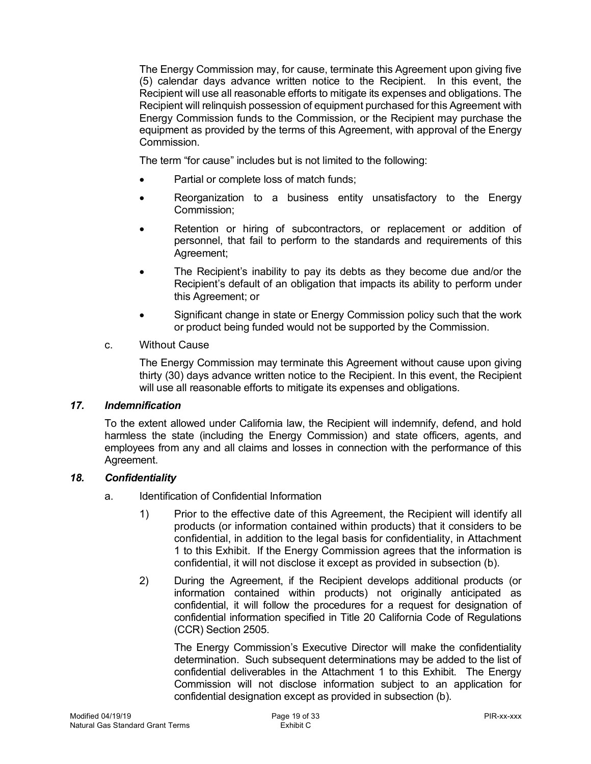The Energy Commission may, for cause, terminate this Agreement upon giving five (5) calendar days advance written notice to the Recipient. In this event, the Recipient will use all reasonable efforts to mitigate its expenses and obligations. The Recipient will relinquish possession of equipment purchased for this Agreement with Energy Commission funds to the Commission, or the Recipient may purchase the equipment as provided by the terms of this Agreement, with approval of the Energy Commission.

The term "for cause" includes but is not limited to the following:

- Partial or complete loss of match funds;
- • Reorganization to a business entity unsatisfactory to the Energy Commission;
- • Retention or hiring of subcontractors, or replacement or addition of personnel, that fail to perform to the standards and requirements of this Agreement;
- • The Recipient's inability to pay its debts as they become due and/or the Recipient's default of an obligation that impacts its ability to perform under this Agreement; or
- • Significant change in state or Energy Commission policy such that the work or product being funded would not be supported by the Commission.

### c. Without Cause

<span id="page-18-0"></span> The Energy Commission may terminate this Agreement without cause upon giving thirty (30) days advance written notice to the Recipient. In this event, the Recipient will use all reasonable efforts to mitigate its expenses and obligations.

### *17. Indemnification*

 To the extent allowed under California law, the Recipient will indemnify, defend, and hold harmless the state (including the Energy Commission) and state officers, agents, and employees from any and all claims and losses in connection with the performance of this Agreement.

### *18. Confidentiality*

- <span id="page-18-1"></span> a. Identification of Confidential Information
	- products (or information contained within products) that it considers to be confidential, in addition to the legal basis for confidentiality, in Attachment 1 to this Exhibit. If the Energy Commission agrees that the information is confidential, it will not disclose it except as provided in subsection (b). 1) Prior to the effective date of this Agreement, the Recipient will identify all
	- 2) During the Agreement, if the Recipient develops additional products (or information contained within products) not originally anticipated as confidential, it will follow the procedures for a request for designation of confidential information specified in Title 20 California Code of Regulations (CCR) Section 2505.

 determination. Such subsequent determinations may be added to the list of confidential deliverables in the Attachment 1 to this Exhibit. The Energy Commission will not disclose information subject to an application for confidential designation except as provided in subsection (b). The Energy Commission's Executive Director will make the confidentiality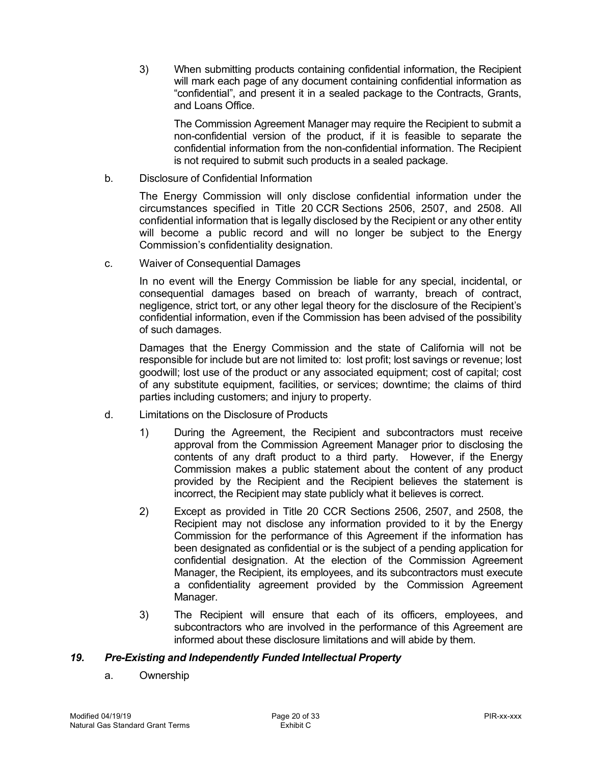will mark each page of any document containing confidential information as "confidential", and present it in a sealed package to the Contracts, Grants, and Loans Office. 3) When submitting products containing confidential information, the Recipient

 non-confidential version of the product, if it is feasible to separate the confidential information from the non-confidential information. The Recipient is not required to submit such products in a sealed package. The Commission Agreement Manager may require the Recipient to submit a

b. Disclosure of Confidential Information

 The Energy Commission will only disclose confidential information under the circumstances specified in Title 20 CCR Sections 2506, 2507, and 2508. All confidential information that is legally disclosed by the Recipient or any other entity will become a public record and will no longer be subject to the Energy Commission's confidentiality designation.

c. Waiver of Consequential Damages

 In no event will the Energy Commission be liable for any special, incidental, or consequential damages based on breach of warranty, breach of contract, negligence, strict tort, or any other legal theory for the disclosure of the Recipient's confidential information, even if the Commission has been advised of the possibility of such damages.

 Damages that the Energy Commission and the state of California will not be responsible for include but are not limited to: lost profit; lost savings or revenue; lost goodwill; lost use of the product or any associated equipment; cost of capital; cost of any substitute equipment, facilities, or services; downtime; the claims of third parties including customers; and injury to property.

- d. Limitations on the Disclosure of Products
	- $\left( \right)$  approval from the Commission Agreement Manager prior to disclosing the contents of any draft product to a third party. However, if the Energy Commission makes a public statement about the content of any product provided by the Recipient and the Recipient believes the statement is incorrect, the Recipient may state publicly what it believes is correct. 1) During the Agreement, the Recipient and subcontractors must receive
	- 2) Except as provided in Title 20 CCR Sections 2506, 2507, and 2508, the Recipient may not disclose any information provided to it by the Energy Commission for the performance of this Agreement if the information has been designated as confidential or is the subject of a pending application for confidential designation. At the election of the Commission Agreement Manager, the Recipient, its employees, and its subcontractors must execute a confidentiality agreement provided by the Commission Agreement Manager.
	- 3) The Recipient will ensure that each of its officers, employees, and subcontractors who are involved in the performance of this Agreement are informed about these disclosure limitations and will abide by them.

### *19. Pre-Existing and Independently Funded Intellectual Property*

<span id="page-19-0"></span>a. Ownership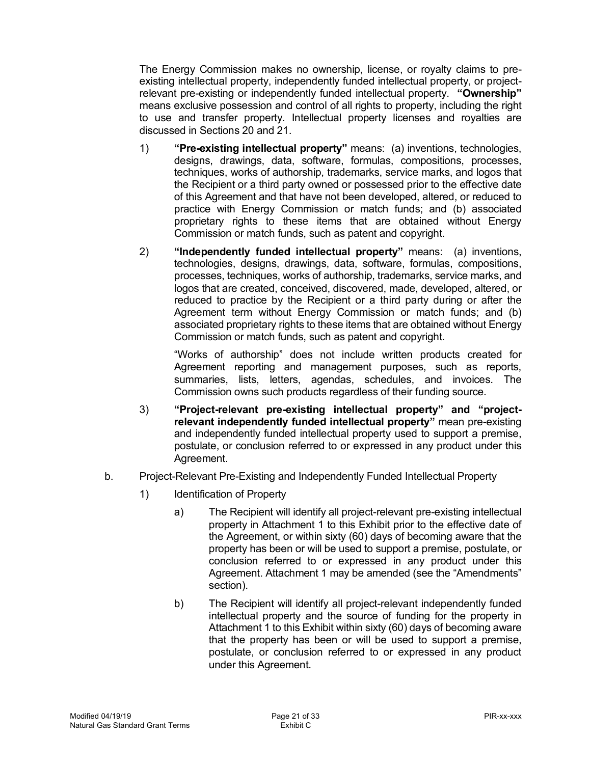The Energy Commission makes no ownership, license, or royalty claims to pre- existing intellectual property, independently funded intellectual property, or project- relevant pre-existing or independently funded intellectual property. **"Ownership"**  means exclusive possession and control of all rights to property, including the right to use and transfer property. Intellectual property licenses and royalties are discussed in Sections 20 and 21.

- 1) **"Pre-existing intellectual property"** means: (a) inventions, technologies, designs, drawings, data, software, formulas, compositions, processes, techniques, works of authorship, trademarks, service marks, and logos that the Recipient or a third party owned or possessed prior to the effective date of this Agreement and that have not been developed, altered, or reduced to practice with Energy Commission or match funds; and (b) associated proprietary rights to these items that are obtained without Energy Commission or match funds, such as patent and copyright.
- 2) **"Independently funded intellectual property"** means: (a) inventions, technologies, designs, drawings, data, software, formulas, compositions, processes, techniques, works of authorship, trademarks, service marks, and logos that are created, conceived, discovered, made, developed, altered, or reduced to practice by the Recipient or a third party during or after the Agreement term without Energy Commission or match funds; and (b) associated proprietary rights to these items that are obtained without Energy Commission or match funds, such as patent and copyright.

 "Works of authorship" does not include written products created for Agreement reporting and management purposes, such as reports, summaries, lists, letters, agendas, schedules, and invoices. The Commission owns such products regardless of their funding source.

- **relevant independently funded intellectual property"** mean pre-existing and independently funded intellectual property used to support a premise, postulate, or conclusion referred to or expressed in any product under this 3) **"Project-relevant pre-existing intellectual property" and "project-**Agreement.
- b. Project-Relevant Pre-Existing and Independently Funded Intellectual Property
	- 1) Identification of Property
		- property in Attachment 1 to this Exhibit prior to the effective date of the Agreement, or within sixty (60) days of becoming aware that the property has been or will be used to support a premise, postulate, or conclusion referred to or expressed in any product under this Agreement. Attachment 1 may be amended (see the "Amendments" a) The Recipient will identify all project-relevant pre-existing intellectual section).
		- b) The Recipient will identify all project-relevant independently funded intellectual property and the source of funding for the property in Attachment 1 to this Exhibit within sixty (60) days of becoming aware that the property has been or will be used to support a premise, postulate, or conclusion referred to or expressed in any product under this Agreement.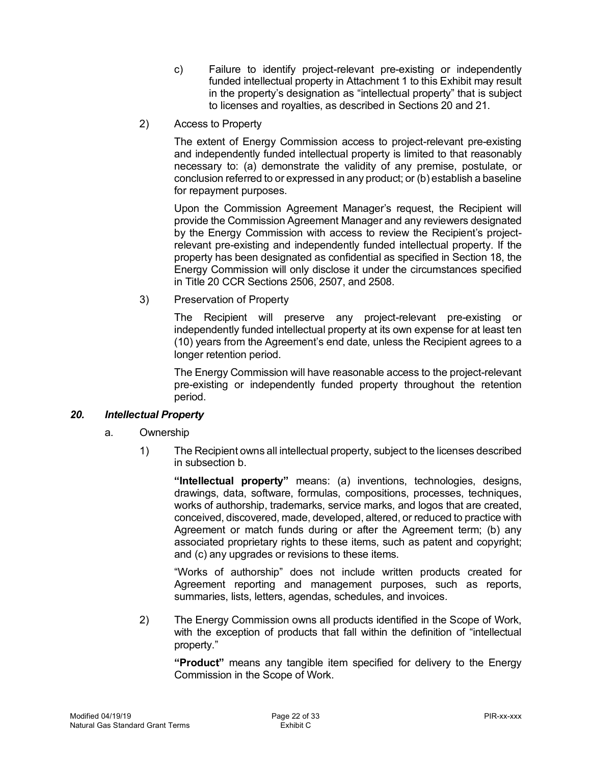- c) Failure to identify project-relevant pre-existing or independently funded intellectual property in Attachment 1 to this Exhibit may result in the property's designation as "intellectual property" that is subject to licenses and royalties, as described in Sections 20 and 21.
- 2) Access to Property

 and independently funded intellectual property is limited to that reasonably necessary to: (a) demonstrate the validity of any premise, postulate, or conclusion referred to or expressed in any product; or (b) establish a baseline for repayment purposes. The extent of Energy Commission access to project-relevant pre-existing

 provide the Commission Agreement Manager and any reviewers designated by the Energy Commission with access to review the Recipient's project- relevant pre-existing and independently funded intellectual property. If the property has been designated as confidential as specified in Section 18, the Energy Commission will only disclose it under the circumstances specified in Title 20 CCR Sections 2506, 2507, and 2508. Upon the Commission Agreement Manager's request, the Recipient will

3) Preservation of Property

 independently funded intellectual property at its own expense for at least ten (10) years from the Agreement's end date, unless the Recipient agrees to a longer retention period. The Recipient will preserve any project-relevant pre-existing or

<span id="page-21-0"></span> The Energy Commission will have reasonable access to the project-relevant pre-existing or independently funded property throughout the retention period.

#### $20.$ *20. Intellectual Property*

- a. Ownership
	- $1)$  in subsection b. The Recipient owns all intellectual property, subject to the licenses described

 **"Intellectual property"** means: (a) inventions, technologies, designs, drawings, data, software, formulas, compositions, processes, techniques, works of authorship, trademarks, service marks, and logos that are created, conceived, discovered, made, developed, altered, or reduced to practice with Agreement or match funds during or after the Agreement term; (b) any associated proprietary rights to these items, such as patent and copyright; and (c) any upgrades or revisions to these items.

 "Works of authorship" does not include written products created for Agreement reporting and management purposes, such as reports, summaries, lists, letters, agendas, schedules, and invoices.

 $2)$  with the exception of products that fall within the definition of "intellectual property." The Energy Commission owns all products identified in the Scope of Work,

 **"Product"** means any tangible item specified for delivery to the Energy Commission in the Scope of Work.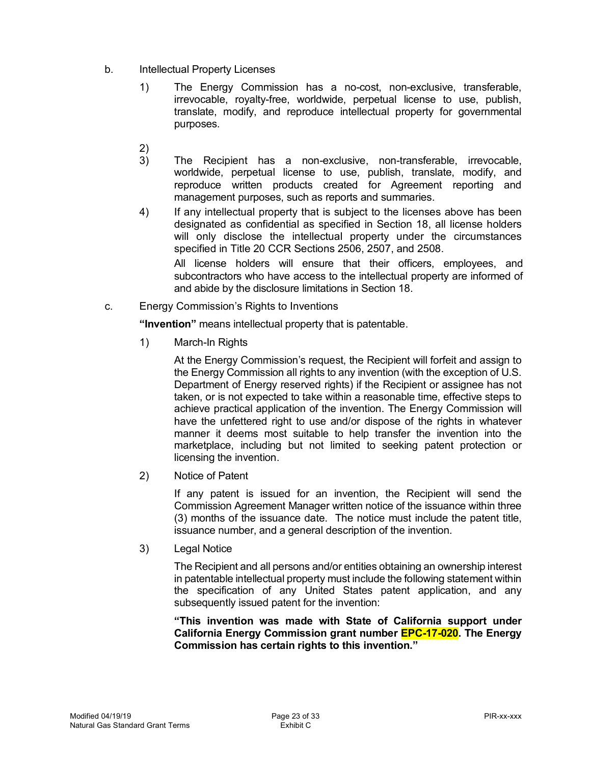- b. Intellectual Property Licenses
	- irrevocable, royalty-free, worldwide, perpetual license to use, publish, translate, modify, and reproduce intellectual property for governmental 1) The Energy Commission has a no-cost, non-exclusive, transferable, purposes.
	- 2)
	- worldwide, perpetual license to use, publish, translate, modify, and reproduce written products created for Agreement reporting and management purposes, such as reports and summaries. 3) The Recipient has a non-exclusive, non-transferable, irrevocable,
	- designated as confidential as specified in Section 18, all license holders will only disclose the intellectual property under the circumstances specified in Title 20 CCR Sections 2506, 2507, and 2508. 4) If any intellectual property that is subject to the licenses above has been

 All license holders will ensure that their officers, employees, and subcontractors who have access to the intellectual property are informed of and abide by the disclosure limitations in Section 18.

c. Energy Commission's Rights to Inventions

**"Invention"** means intellectual property that is patentable.

1) March-In Rights

 At the Energy Commission's request, the Recipient will forfeit and assign to the Energy Commission all rights to any invention (with the exception of U.S. Department of Energy reserved rights) if the Recipient or assignee has not taken, or is not expected to take within a reasonable time, effective steps to achieve practical application of the invention. The Energy Commission will have the unfettered right to use and/or dispose of the rights in whatever manner it deems most suitable to help transfer the invention into the marketplace, including but not limited to seeking patent protection or

licensing the invention.<br>2) Notice of Patent  $(2)$ 

> If any patent is issued for an invention, the Recipient will send the Commission Agreement Manager written notice of the issuance within three (3) months of the issuance date. The notice must include the patent title, issuance number, and a general description of the invention.

3) Legal Notice

 The Recipient and all persons and/or entities obtaining an ownership interest in patentable intellectual property must include the following statement within the specification of any United States patent application, and any subsequently issued patent for the invention:

 **"This invention was made with State of California support under California Energy Commission grant number EPC-17-020. The Energy Commission has certain rights to this invention."**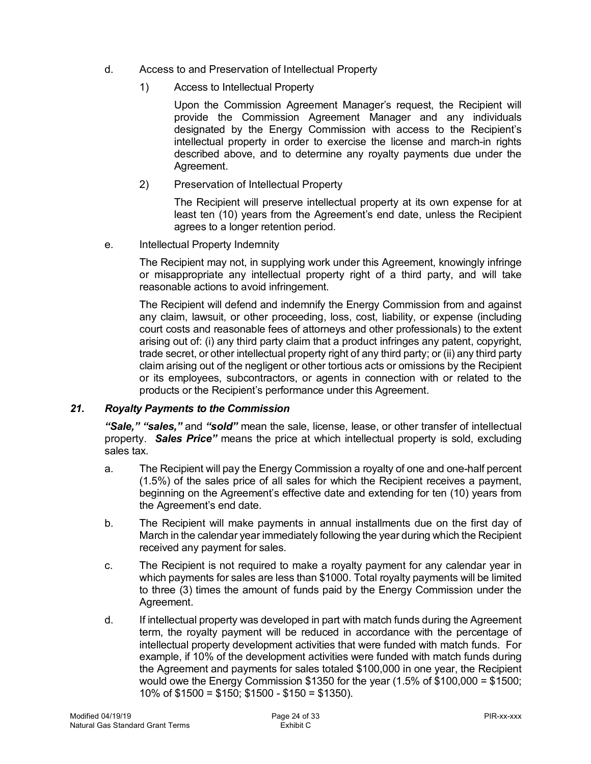- d. Access to and Preservation of Intellectual Property
	- 1) Access to Intellectual Property

 Upon the Commission Agreement Manager's request, the Recipient will provide the Commission Agreement Manager and any individuals designated by the Energy Commission with access to the Recipient's intellectual property in order to exercise the license and march-in rights described above, and to determine any royalty payments due under the Agreement.

Agreement.<br>2) Preservation of Intellectual Property

 The Recipient will preserve intellectual property at its own expense for at least ten (10) years from the Agreement's end date, unless the Recipient agrees to a longer retention period.

e. Intellectual Property Indemnity

 The Recipient may not, in supplying work under this Agreement, knowingly infringe or misappropriate any intellectual property right of a third party, and will take reasonable actions to avoid infringement.

<span id="page-23-0"></span> The Recipient will defend and indemnify the Energy Commission from and against any claim, lawsuit, or other proceeding, loss, cost, liability, or expense (including court costs and reasonable fees of attorneys and other professionals) to the extent arising out of: (i) any third party claim that a product infringes any patent, copyright, trade secret, or other intellectual property right of any third party; or (ii) any third party claim arising out of the negligent or other tortious acts or omissions by the Recipient or its employees, subcontractors, or agents in connection with or related to the products or the Recipient's performance under this Agreement.

### *21. Royalty Payments to the Commission*

 *"Sale," "sales,"* and *"sold"* mean the sale, license, lease, or other transfer of intellectual property. *Sales Price"* means the price at which intellectual property is sold, excluding sales tax.

- a. The Recipient will pay the Energy Commission a royalty of one and one-half percent (1.5%) of the sales price of all sales for which the Recipient receives a payment, beginning on the Agreement's effective date and extending for ten (10) years from the Agreement's end date.
- $b<sub>1</sub>$  March in the calendar year immediately following the year during which the Recipient received any payment for sales. The Recipient will make payments in annual installments due on the first day of
- $C_{1}$  which payments for sales are less than \$1000. Total royalty payments will be limited to three (3) times the amount of funds paid by the Energy Commission under the The Recipient is not required to make a royalty payment for any calendar year in Agreement.
- d. term, the royalty payment will be reduced in accordance with the percentage of intellectual property development activities that were funded with match funds. For example, if 10% of the development activities were funded with match funds during the Agreement and payments for sales totaled \$100,000 in one year, the Recipient would owe the Energy Commission \$1350 for the year (1.5% of \$100,000 = \$1500; 10% of \$1500 = \$150; \$1500 - \$150 = \$1350). If intellectual property was developed in part with match funds during the Agreement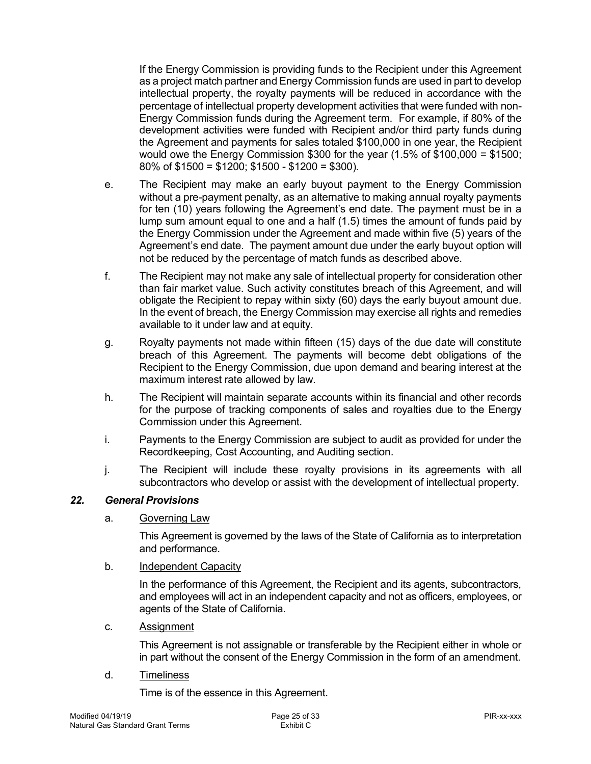If the Energy Commission is providing funds to the Recipient under this Agreement as a project match partner and Energy Commission funds are used in part to develop intellectual property, the royalty payments will be reduced in accordance with the percentage of intellectual property development activities that were funded with non- Energy Commission funds during the Agreement term. For example, if 80% of the development activities were funded with Recipient and/or third party funds during the Agreement and payments for sales totaled \$100,000 in one year, the Recipient would owe the Energy Commission \$300 for the year (1.5% of \$100,000 = \$1500; 80% of \$1500 = \$1200; \$1500 - \$1200 = \$300).

- $\mathbf{e}$ . without a pre-payment penalty, as an alternative to making annual royalty payments for ten (10) years following the Agreement's end date. The payment must be in a lump sum amount equal to one and a half (1.5) times the amount of funds paid by the Energy Commission under the Agreement and made within five (5) years of the Agreement's end date. The payment amount due under the early buyout option will not be reduced by the percentage of match funds as described above. The Recipient may make an early buyout payment to the Energy Commission
- f. The Recipient may not make any sale of intellectual property for consideration other than fair market value. Such activity constitutes breach of this Agreement, and will obligate the Recipient to repay within sixty (60) days the early buyout amount due. In the event of breach, the Energy Commission may exercise all rights and remedies available to it under law and at equity.
- g. Royalty payments not made within fifteen (15) days of the due date will constitute breach of this Agreement. The payments will become debt obligations of the Recipient to the Energy Commission, due upon demand and bearing interest at the maximum interest rate allowed by law.
- h. The Recipient will maintain separate accounts within its financial and other records for the purpose of tracking components of sales and royalties due to the Energy Commission under this Agreement.
- i. Payments to the Energy Commission are subject to audit as provided for under the Recordkeeping, Cost Accounting, and Auditing section.
- j. subcontractors who develop or assist with the development of intellectual property. The Recipient will include these royalty provisions in its agreements with all

### *22. General Provisions*

a. Governing Law

<span id="page-24-0"></span> This Agreement is governed by the laws of the State of California as to interpretation and performance.

### b. **Independent Capacity**

 In the performance of this Agreement, the Recipient and its agents, subcontractors, and employees will act in an independent capacity and not as officers, employees, or agents of the State of California.

c. Assignment

 This Agreement is not assignable or transferable by the Recipient either in whole or in part without the consent of the Energy Commission in the form of an amendment.

d. Timeliness

Time is of the essence in this Agreement.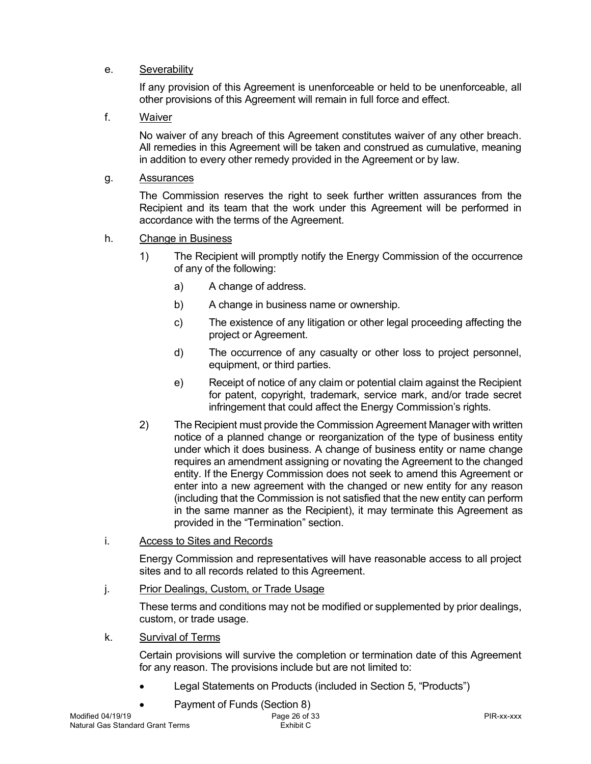## e. Severability

 If any provision of this Agreement is unenforceable or held to be unenforceable, all other provisions of this Agreement will remain in full force and effect.

# f. Waiver

 No waiver of any breach of this Agreement constitutes waiver of any other breach. All remedies in this Agreement will be taken and construed as cumulative, meaning in addition to every other remedy provided in the Agreement or by law.

### g. Assurances

 The Commission reserves the right to seek further written assurances from the Recipient and its team that the work under this Agreement will be performed in accordance with the terms of the Agreement.

### h. Change in Business

- 1) The Recipient will promptly notify the Energy Commission of the occurrence of any of the following:
	- a) A change of address.
	- b) A change in business name or ownership.
	- c) The existence of any litigation or other legal proceeding affecting the project or Agreement.
	- d) The occurrence of any casualty or other loss to project personnel, equipment, or third parties.
	- e) Receipt of notice of any claim or potential claim against the Recipient for patent, copyright, trademark, service mark, and/or trade secret infringement that could affect the Energy Commission's rights.
- 2) The Recipient must provide the Commission Agreement Manager with written notice of a planned change or reorganization of the type of business entity under which it does business. A change of business entity or name change requires an amendment assigning or novating the Agreement to the changed entity. If the Energy Commission does not seek to amend this Agreement or enter into a new agreement with the changed or new entity for any reason (including that the Commission is not satisfied that the new entity can perform in the same manner as the Recipient), it may terminate this Agreement as provided in the "Termination" section.
- i. Access to Sites and Records

 Energy Commission and representatives will have reasonable access to all project sites and to all records related to this Agreement.

j. Prior Dealings, Custom, or Trade Usage

 These terms and conditions may not be modified or supplemented by prior dealings, custom, or trade usage.

### k. Survival of Terms

 Certain provisions will survive the completion or termination date of this Agreement for any reason. The provisions include but are not limited to:

- Legal Statements on Products (included in Section 5, "Products")
- Payment of Funds (Section 8)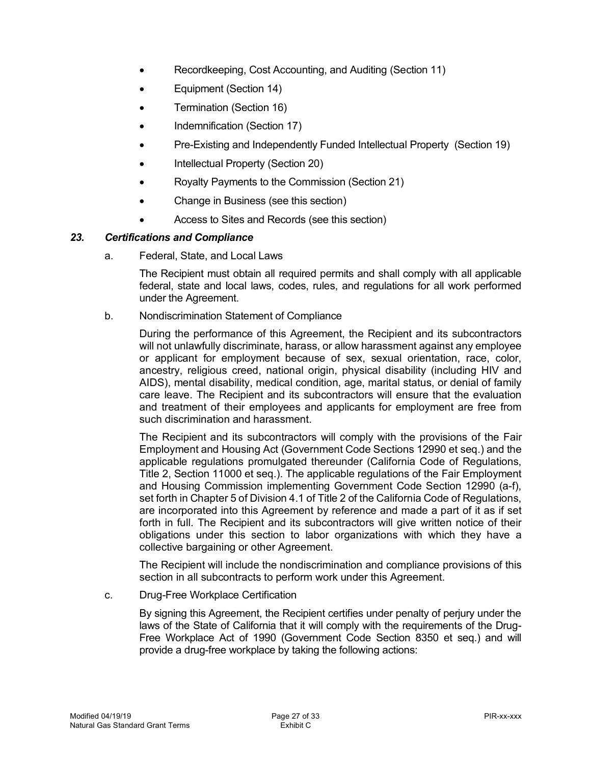- Recordkeeping, Cost Accounting, and Auditing (Section 11)
- Equipment (Section 14)
- Termination (Section 16)
- Indemnification (Section 17)
- Pre-Existing and Independently Funded Intellectual Property (Section 19)
- Intellectual Property (Section 20)
- Royalty Payments to the Commission (Section 21)
- Change in Business (see this section)
- <span id="page-26-0"></span>• Access to Sites and Records (see this section)

### *23. Certifications and Compliance*

a. Federal, State, and Local Laws

 The Recipient must obtain all required permits and shall comply with all applicable federal, state and local laws, codes, rules, and regulations for all work performed under the Agreement.

b. Nondiscrimination Statement of Compliance

 During the performance of this Agreement, the Recipient and its subcontractors will not unlawfully discriminate, harass, or allow harassment against any employee or applicant for employment because of sex, sexual orientation, race, color, ancestry, religious creed, national origin, physical disability (including HIV and AIDS), mental disability, medical condition, age, marital status, or denial of family care leave. The Recipient and its subcontractors will ensure that the evaluation and treatment of their employees and applicants for employment are free from such discrimination and harassment.

 The Recipient and its subcontractors will comply with the provisions of the Fair Employment and Housing Act (Government Code Sections 12990 et seq.) and the applicable regulations promulgated thereunder (California Code of Regulations, Title 2, Section 11000 et seq.). The applicable regulations of the Fair Employment and Housing Commission implementing Government Code Section 12990 (a-f), set forth in Chapter 5 of Division 4.1 of Title 2 of the California Code of Regulations, are incorporated into this Agreement by reference and made a part of it as if set forth in full. The Recipient and its subcontractors will give written notice of their obligations under this section to labor organizations with which they have a collective bargaining or other Agreement.

 The Recipient will include the nondiscrimination and compliance provisions of this section in all subcontracts to perform work under this Agreement.

c. Drug-Free Workplace Certification

 By signing this Agreement, the Recipient certifies under penalty of perjury under the laws of the State of California that it will comply with the requirements of the Drug- Free Workplace Act of 1990 (Government Code Section 8350 et seq.) and will provide a drug-free workplace by taking the following actions: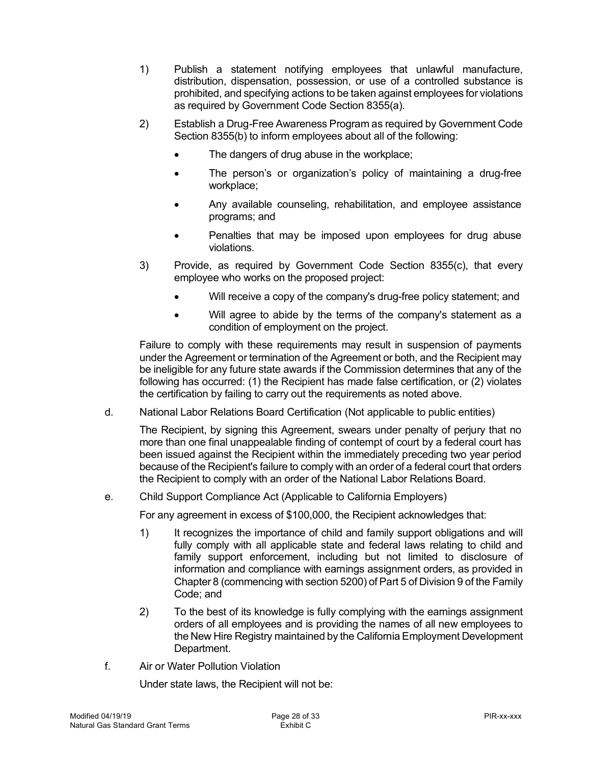- 1) Publish a statement notifying employees that unlawful manufacture, distribution, dispensation, possession, or use of a controlled substance is prohibited, and specifying actions to be taken against employees for violations as required by Government Code Section 8355(a).
- 2) Establish a Drug-Free Awareness Program as required by Government Code Section 8355(b) to inform employees about all of the following:
	- The dangers of drug abuse in the workplace;
	- • The person's or organization's policy of maintaining a drug-free workplace;
	- • Any available counseling, rehabilitation, and employee assistance programs; and
	- • Penalties that may be imposed upon employees for drug abuse violations.
- 3) Provide, as required by Government Code Section 8355(c), that every employee who works on the proposed project:
	- Will receive a copy of the company's drug-free policy statement; and
	- • Will agree to abide by the terms of the company's statement as a condition of employment on the project.

 Failure to comply with these requirements may result in suspension of payments under the Agreement or termination of the Agreement or both, and the Recipient may be ineligible for any future state awards if the Commission determines that any of the following has occurred: (1) the Recipient has made false certification, or (2) violates the certification by failing to carry out the requirements as noted above.

d. National Labor Relations Board Certification (Not applicable to public entities)

 The Recipient, by signing this Agreement, swears under penalty of perjury that no more than one final unappealable finding of contempt of court by a federal court has been issued against the Recipient within the immediately preceding two year period because of the Recipient's failure to comply with an order of a federal court that orders the Recipient to comply with an order of the National Labor Relations Board.

 $e_{i}$ Child Support Compliance Act (Applicable to California Employers)

For any agreement in excess of \$100,000, the Recipient acknowledges that:

- 1) It recognizes the importance of child and family support obligations and will fully comply with all applicable state and federal laws relating to child and family support enforcement, including but not limited to disclosure of information and compliance with earnings assignment orders, as provided in Chapter 8 (commencing with section 5200) of Part 5 of Division 9 of the Family Code; and
- $2)$  orders of all employees and is providing the names of all new employees to the New Hire Registry maintained by the California Employment Development 2) To the best of its knowledge is fully complying with the earnings assignment Department.
- f. Air or Water Pollution Violation

Under state laws, the Recipient will not be: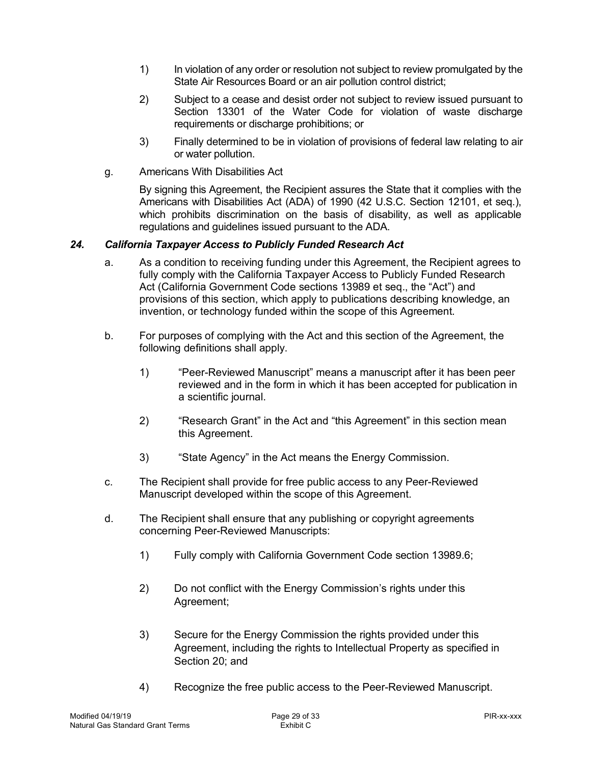- $1)$  State Air Resources Board or an air pollution control district; In violation of any order or resolution not subject to review promulgated by the
- 2) Subject to a cease and desist order not subject to review issued pursuant to Section 13301 of the Water Code for violation of waste discharge requirements or discharge prohibitions; or
- 3) Finally determined to be in violation of provisions of federal law relating to air or water pollution.
- g. Americans With Disabilities Act

<span id="page-28-0"></span> By signing this Agreement, the Recipient assures the State that it complies with the Americans with Disabilities Act (ADA) of 1990 (42 U.S.C. Section 12101, et seq.), which prohibits discrimination on the basis of disability, as well as applicable regulations and guidelines issued pursuant to the ADA.

#### $24.$ *24. California Taxpayer Access to Publicly Funded Research Act*

- fully comply with the California Taxpayer Access to Publicly Funded Research Act (California Government Code sections 13989 et seq., the "Act") and provisions of this section, which apply to publications describing knowledge, an invention, or technology funded within the scope of this Agreement. a. As a condition to receiving funding under this Agreement, the Recipient agrees to
- following definitions shall apply. b. For purposes of complying with the Act and this section of the Agreement, the
	- 1) "Peer-Reviewed Manuscript" means a manuscript after it has been peer reviewed and in the form in which it has been accepted for publication in a scientific journal.
	- 2) "Research Grant" in the Act and "this Agreement" in this section mean this Agreement.
	- this Agreement.<br>3) "State Agency" in the Act means the Energy Commission.
- c. Manuscript developed within the scope of this Agreement. The Recipient shall provide for free public access to any Peer-Reviewed
- d. concerning Peer-Reviewed Manuscripts: The Recipient shall ensure that any publishing or copyright agreements
	- concerning Peer-Reviewed Manuscripts:<br>1) Fully comply with California Government Code section 13989.6;
	- $2)$ 2) Do not conflict with the Energy Commission's rights under this Agreement;
	- 3) Secure for the Energy Commission the rights provided under this Agreement, including the rights to Intellectual Property as specified in Section 20; and
	- 4) Recognize the free public access to the Peer-Reviewed Manuscript.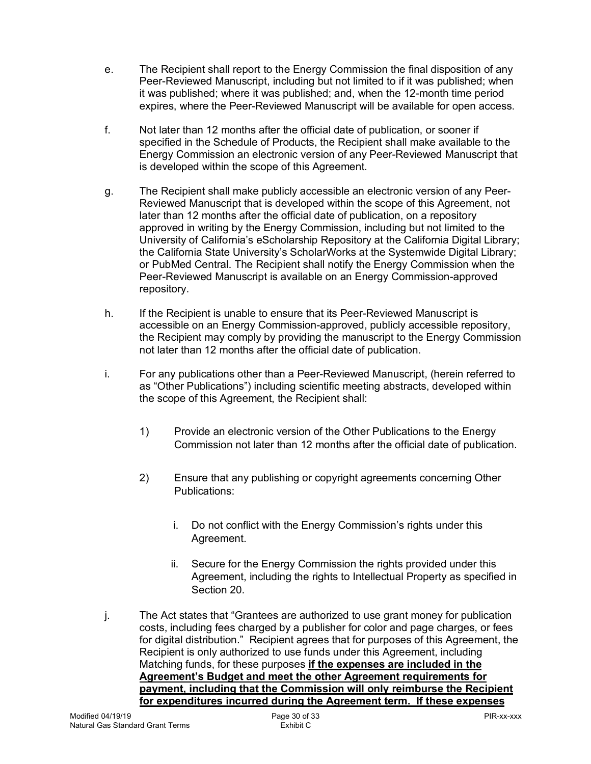- $e<sub>1</sub>$  Peer-Reviewed Manuscript, including but not limited to if it was published; when it was published; where it was published; and, when the 12-month time period expires, where the Peer-Reviewed Manuscript will be available for open access. The Recipient shall report to the Energy Commission the final disposition of any
- $f_{\perp}$  specified in the Schedule of Products, the Recipient shall make available to the Energy Commission an electronic version of any Peer-Reviewed Manuscript that is developed within the scope of this Agreement. Not later than 12 months after the official date of publication, or sooner if
- g. Reviewed Manuscript that is developed within the scope of this Agreement, not later than 12 months after the official date of publication, on a repository approved in writing by the Energy Commission, including but not limited to the University of California's eScholarship Repository at the California Digital Library; the California State University's ScholarWorks at the Systemwide Digital Library; or PubMed Central. The Recipient shall notify the Energy Commission when the Peer-Reviewed Manuscript is available on an Energy Commission-approved g. The Recipient shall make publicly accessible an electronic version of any Peerrepository.
- h. accessible on an Energy Commission-approved, publicly accessible repository, the Recipient may comply by providing the manuscript to the Energy Commission not later than 12 months after the official date of publication. If the Recipient is unable to ensure that its Peer-Reviewed Manuscript is
- i. For any publications other than a Peer-Reviewed Manuscript, (herein referred to as "Other Publications") including scientific meeting abstracts, developed within the scope of this Agreement, the Recipient shall:
	- 1) Provide an electronic version of the Other Publications to the Energy Commission not later than 12 months after the official date of publication.
	- 2) Ensure that any publishing or copyright agreements concerning Other Publications:
		- Publications:<br>i. Do not conflict with the Energy Commission's rights under this Agreement.
		- ii. Agreement, including the rights to Intellectual Property as specified in Section 20. Secure for the Energy Commission the rights provided under this
- j. costs, including fees charged by a publisher for color and page charges, or fees for digital distribution." Recipient agrees that for purposes of this Agreement, the Recipient is only authorized to use funds under this Agreement, including Matching funds, for these purposes **if the expenses are included in the Agreement's Budget and meet the other Agreement requirements for payment, including that the Commission will only reimburse the Recipient for expenditures incurred during the Agreement term. If these expenses**  The Act states that "Grantees are authorized to use grant money for publication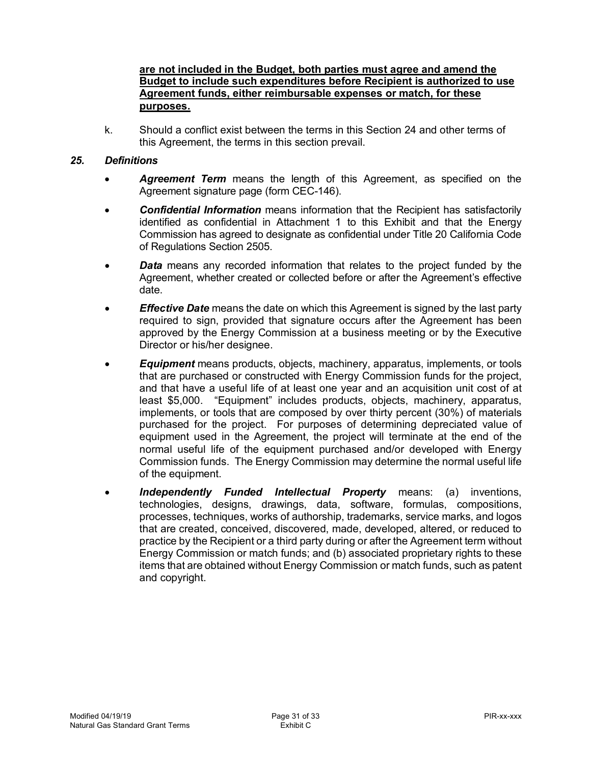### **are not included in the Budget, both parties must agree and amend the Budget to include such expenditures before Recipient is authorized to use Agreement funds, either reimbursable expenses or match, for these purposes.**

 k. Should a conflict exist between the terms in this Section 24 and other terms of this Agreement, the terms in this section prevail.

### *25. Definitions*

- • *Agreement Term* means the length of this Agreement, as specified on the Agreement signature page (form CEC-146).
- identified as confidential in Attachment 1 to this Exhibit and that the Energy Commission has agreed to designate as confidential under Title 20 California Code • *Confidential Information* means information that the Recipient has satisfactorily of Regulations Section 2505.
- Agreement, whether created or collected before or after the Agreement's effective • *Data* means any recorded information that relates to the project funded by the date.
- • *Effective Date* means the date on which this Agreement is signed by the last party required to sign, provided that signature occurs after the Agreement has been approved by the Energy Commission at a business meeting or by the Executive Director or his/her designee.
- • *Equipment* means products, objects, machinery, apparatus, implements, or tools that are purchased or constructed with Energy Commission funds for the project, and that have a useful life of at least one year and an acquisition unit cost of at least \$5,000. "Equipment" includes products, objects, machinery, apparatus, implements, or tools that are composed by over thirty percent (30%) of materials purchased for the project. For purposes of determining depreciated value of equipment used in the Agreement, the project will terminate at the end of the normal useful life of the equipment purchased and/or developed with Energy Commission funds. The Energy Commission may determine the normal useful life of the equipment.
- *Independently Funded Intellectual Property* means: (a) inventions, technologies, designs, drawings, data, software, formulas, compositions, processes, techniques, works of authorship, trademarks, service marks, and logos that are created, conceived, discovered, made, developed, altered, or reduced to practice by the Recipient or a third party during or after the Agreement term without Energy Commission or match funds; and (b) associated proprietary rights to these items that are obtained without Energy Commission or match funds, such as patent and copyright.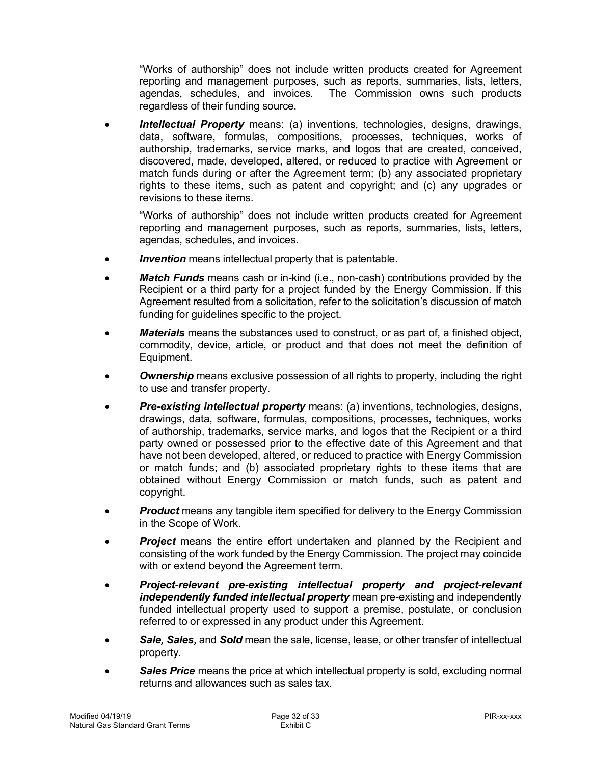"Works of authorship" does not include written products created for Agreement reporting and management purposes, such as reports, summaries, lists, letters, agendas, schedules, and invoices. The Commission owns such products regardless of their funding source.

 • *Intellectual Property* means: (a) inventions, technologies, designs, drawings, data, software, formulas, compositions, processes, techniques, works of authorship, trademarks, service marks, and logos that are created, conceived, discovered, made, developed, altered, or reduced to practice with Agreement or match funds during or after the Agreement term; (b) any associated proprietary rights to these items, such as patent and copyright; and (c) any upgrades or revisions to these items.

 "Works of authorship" does not include written products created for Agreement reporting and management purposes, such as reports, summaries, lists, letters, agendas, schedules, and invoices.

- *Invention* means intellectual property that is patentable.
- • *Match Funds* means cash or in-kind (i.e., non-cash) contributions provided by the Recipient or a third party for a project funded by the Energy Commission. If this Agreement resulted from a solicitation, refer to the solicitation's discussion of match funding for guidelines specific to the project.
- • *Materials* means the substances used to construct, or as part of, a finished object, commodity, device, article, or product and that does not meet the definition of Equipment.
- • *Ownership* means exclusive possession of all rights to property, including the right to use and transfer property.
- • *Pre-existing intellectual property* means: (a) inventions, technologies, designs, drawings, data, software, formulas, compositions, processes, techniques, works of authorship, trademarks, service marks, and logos that the Recipient or a third party owned or possessed prior to the effective date of this Agreement and that have not been developed, altered, or reduced to practice with Energy Commission or match funds; and (b) associated proprietary rights to these items that are obtained without Energy Commission or match funds, such as patent and copyright.
- *Product* means any tangible item specified for delivery to the Energy Commission in the Scope of Work.
- • *Project* means the entire effort undertaken and planned by the Recipient and consisting of the work funded by the Energy Commission. The project may coincide with or extend beyond the Agreement term.
- *Project-relevant pre-existing intellectual property and project-relevant* independently funded intellectual property mean pre-existing and independently funded intellectual property used to support a premise, postulate, or conclusion referred to or expressed in any product under this Agreement.
- • *Sale, Sales,* and *Sold* mean the sale, license, lease, or other transfer of intellectual property.
- • *Sales Price* means the price at which intellectual property is sold, excluding normal returns and allowances such as sales tax.